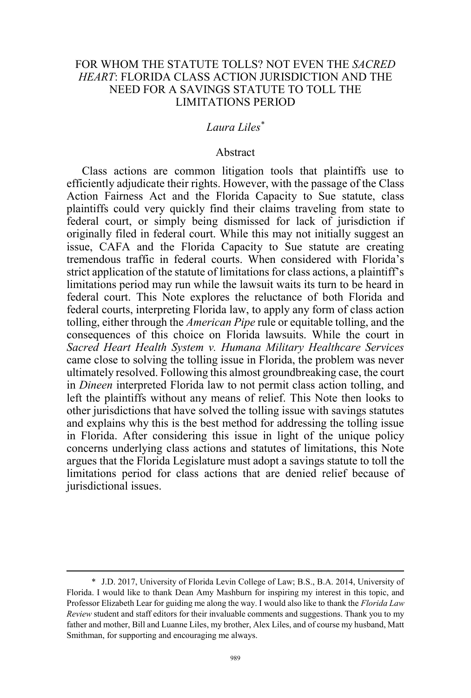# FOR WHOM THE STATUTE TOLLS? NOT EVEN THE *SACRED HEART*: FLORIDA CLASS ACTION JURISDICTION AND THE NEED FOR A SAVINGS STATUTE TO TOLL THE LIMITATIONS PERIOD

## *Laura Liles\**

### Abstract

Class actions are common litigation tools that plaintiffs use to efficiently adjudicate their rights. However, with the passage of the Class Action Fairness Act and the Florida Capacity to Sue statute, class plaintiffs could very quickly find their claims traveling from state to federal court, or simply being dismissed for lack of jurisdiction if originally filed in federal court. While this may not initially suggest an issue, CAFA and the Florida Capacity to Sue statute are creating tremendous traffic in federal courts. When considered with Florida's strict application of the statute of limitations for class actions, a plaintiff's limitations period may run while the lawsuit waits its turn to be heard in federal court. This Note explores the reluctance of both Florida and federal courts, interpreting Florida law, to apply any form of class action tolling, either through the *American Pipe* rule or equitable tolling, and the consequences of this choice on Florida lawsuits. While the court in *Sacred Heart Health System v. Humana Military Healthcare Services*  came close to solving the tolling issue in Florida, the problem was never ultimately resolved. Following this almost groundbreaking case, the court in *Dineen* interpreted Florida law to not permit class action tolling, and left the plaintiffs without any means of relief. This Note then looks to other jurisdictions that have solved the tolling issue with savings statutes and explains why this is the best method for addressing the tolling issue in Florida. After considering this issue in light of the unique policy concerns underlying class actions and statutes of limitations, this Note argues that the Florida Legislature must adopt a savings statute to toll the limitations period for class actions that are denied relief because of jurisdictional issues.

 <sup>\*</sup> J.D. 2017, University of Florida Levin College of Law; B.S., B.A. 2014, University of Florida. I would like to thank Dean Amy Mashburn for inspiring my interest in this topic, and Professor Elizabeth Lear for guiding me along the way. I would also like to thank the *Florida Law Review* student and staff editors for their invaluable comments and suggestions. Thank you to my father and mother, Bill and Luanne Liles, my brother, Alex Liles, and of course my husband, Matt Smithman, for supporting and encouraging me always.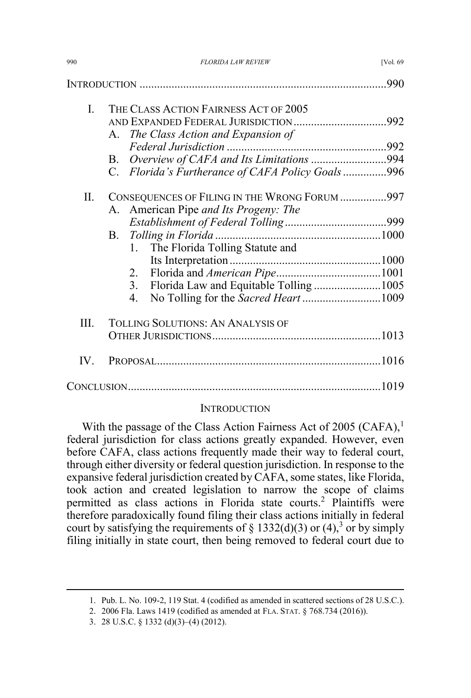|     |                                                  | .990 |
|-----|--------------------------------------------------|------|
| L.  | THE CLASS ACTION FAIRNESS ACT OF 2005            |      |
|     | AND EXPANDED FEDERAL JURISDICTION992             |      |
|     | The Class Action and Expansion of<br>A.          |      |
|     | B.                                               |      |
|     | C. Florida's Furtherance of CAFA Policy Goals996 |      |
| П.  | CONSEQUENCES OF FILING IN THE WRONG FORUM 997    |      |
|     | A. American Pipe and Its Progeny: The            |      |
|     |                                                  |      |
|     | В.                                               |      |
|     | The Florida Tolling Statute and<br>1.            |      |
|     |                                                  |      |
|     | 2.                                               |      |
|     | 3 <sub>1</sub>                                   |      |
|     | 4.                                               |      |
| Ш.  | <b>TOLLING SOLUTIONS: AN ANALYSIS OF</b>         |      |
|     |                                                  |      |
| IV. |                                                  |      |
|     |                                                  |      |

## **INTRODUCTION**

With the passage of the Class Action Fairness Act of 2005 (CAFA),<sup>1</sup> federal jurisdiction for class actions greatly expanded. However, even before CAFA, class actions frequently made their way to federal court, through either diversity or federal question jurisdiction. In response to the expansive federal jurisdiction created by CAFA, some states, like Florida, took action and created legislation to narrow the scope of claims permitted as class actions in Florida state courts.<sup>2</sup> Plaintiffs were therefore paradoxically found filing their class actions initially in federal court by satisfying the requirements of  $\S$  1332(d)(3) or (4),<sup>3</sup> or by simply filing initially in state court, then being removed to federal court due to

 <sup>1.</sup> Pub. L. No. 109-2, 119 Stat. 4 (codified as amended in scattered sections of 28 U.S.C.).

<sup>2. 2006</sup> Fla. Laws 1419 (codified as amended at FLA. STAT. § 768.734 (2016)).

<sup>3. 28</sup> U.S.C. § 1332 (d)(3)–(4) (2012).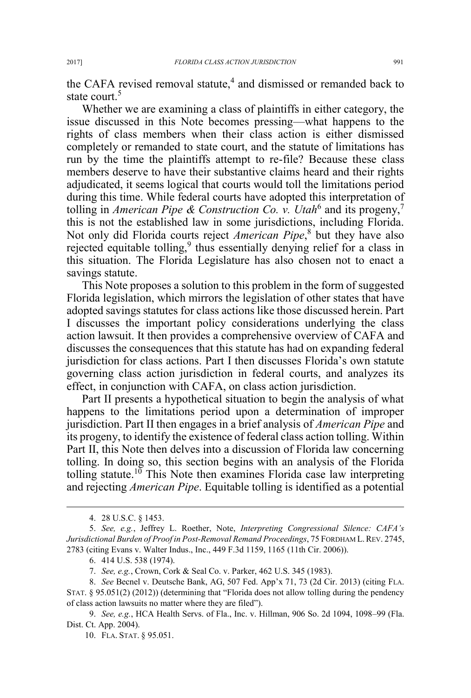the CAFA revised removal statute,<sup>4</sup> and dismissed or remanded back to state court.<sup>5</sup>

Whether we are examining a class of plaintiffs in either category, the issue discussed in this Note becomes pressing—what happens to the rights of class members when their class action is either dismissed completely or remanded to state court, and the statute of limitations has run by the time the plaintiffs attempt to re-file? Because these class members deserve to have their substantive claims heard and their rights adjudicated, it seems logical that courts would toll the limitations period during this time. While federal courts have adopted this interpretation of tolling in *American Pipe & Construction Co. v. Utah*<sup>6</sup> and its progeny,<sup>7</sup> this is not the established law in some jurisdictions, including Florida. Not only did Florida courts reject *American Pipe*, <sup>8</sup> but they have also rejected equitable tolling,<sup>9</sup> thus essentially denying relief for a class in this situation. The Florida Legislature has also chosen not to enact a savings statute.

This Note proposes a solution to this problem in the form of suggested Florida legislation, which mirrors the legislation of other states that have adopted savings statutes for class actions like those discussed herein. Part I discusses the important policy considerations underlying the class action lawsuit. It then provides a comprehensive overview of CAFA and discusses the consequences that this statute has had on expanding federal jurisdiction for class actions. Part I then discusses Florida's own statute governing class action jurisdiction in federal courts, and analyzes its effect, in conjunction with CAFA, on class action jurisdiction.

Part II presents a hypothetical situation to begin the analysis of what happens to the limitations period upon a determination of improper jurisdiction. Part II then engages in a brief analysis of *American Pipe* and its progeny, to identify the existence of federal class action tolling. Within Part II, this Note then delves into a discussion of Florida law concerning tolling. In doing so, this section begins with an analysis of the Florida tolling statute.<sup>10</sup> This Note then examines Florida case law interpreting and rejecting *American Pipe*. Equitable tolling is identified as a potential

 <sup>4. 28</sup> U.S.C. § 1453.

<sup>5.</sup> *See, e.g.*, Jeffrey L. Roether, Note, *Interpreting Congressional Silence: CAFA's Jurisdictional Burden of Proof in Post-Removal Remand Proceedings*, 75 FORDHAM L. REV. 2745, 2783 (citing Evans v. Walter Indus., Inc., 449 F.3d 1159, 1165 (11th Cir. 2006)).

<sup>6. 414</sup> U.S. 538 (1974).

<sup>7.</sup> *See, e.g.*, Crown, Cork & Seal Co. v. Parker, 462 U.S. 345 (1983).

<sup>8.</sup> *See* Becnel v. Deutsche Bank, AG, 507 Fed. App'x 71, 73 (2d Cir. 2013) (citing FLA. STAT. § 95.051(2) (2012)) (determining that "Florida does not allow tolling during the pendency of class action lawsuits no matter where they are filed").

<sup>9.</sup> *See, e.g.*, HCA Health Servs. of Fla., Inc. v. Hillman, 906 So. 2d 1094, 1098–99 (Fla. Dist. Ct. App. 2004).

<sup>10.</sup> FLA. STAT. § 95.051.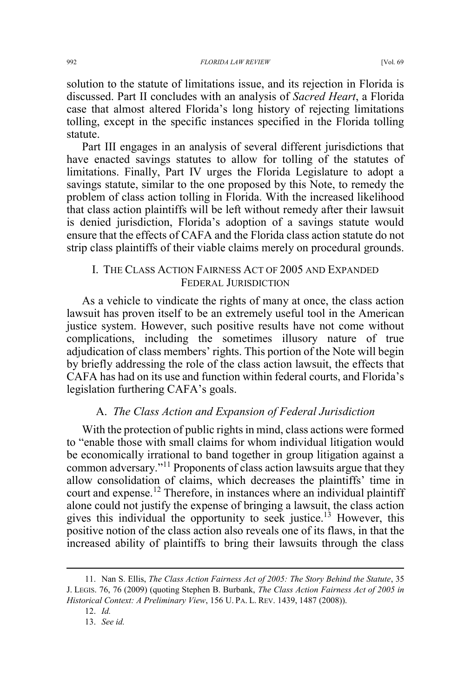solution to the statute of limitations issue, and its rejection in Florida is discussed. Part II concludes with an analysis of *Sacred Heart*, a Florida case that almost altered Florida's long history of rejecting limitations tolling, except in the specific instances specified in the Florida tolling statute.

Part III engages in an analysis of several different jurisdictions that have enacted savings statutes to allow for tolling of the statutes of limitations. Finally, Part IV urges the Florida Legislature to adopt a savings statute, similar to the one proposed by this Note, to remedy the problem of class action tolling in Florida. With the increased likelihood that class action plaintiffs will be left without remedy after their lawsuit is denied jurisdiction, Florida's adoption of a savings statute would ensure that the effects of CAFA and the Florida class action statute do not strip class plaintiffs of their viable claims merely on procedural grounds.

# I. THE CLASS ACTION FAIRNESS ACT OF 2005 AND EXPANDED FEDERAL JURISDICTION

As a vehicle to vindicate the rights of many at once, the class action lawsuit has proven itself to be an extremely useful tool in the American justice system. However, such positive results have not come without complications, including the sometimes illusory nature of true adjudication of class members' rights. This portion of the Note will begin by briefly addressing the role of the class action lawsuit, the effects that CAFA has had on its use and function within federal courts, and Florida's legislation furthering CAFA's goals.

### A. *The Class Action and Expansion of Federal Jurisdiction*

With the protection of public rights in mind, class actions were formed to "enable those with small claims for whom individual litigation would be economically irrational to band together in group litigation against a common adversary."<sup>11</sup> Proponents of class action lawsuits argue that they allow consolidation of claims, which decreases the plaintiffs' time in court and expense.<sup>12</sup> Therefore, in instances where an individual plaintiff alone could not justify the expense of bringing a lawsuit, the class action gives this individual the opportunity to seek justice.<sup>13</sup> However, this positive notion of the class action also reveals one of its flaws, in that the increased ability of plaintiffs to bring their lawsuits through the class

 <sup>11.</sup> Nan S. Ellis, *The Class Action Fairness Act of 2005: The Story Behind the Statute*, 35 J. LEGIS. 76, 76 (2009) (quoting Stephen B. Burbank, *The Class Action Fairness Act of 2005 in Historical Context: A Preliminary View*, 156 U. PA. L. REV. 1439, 1487 (2008)).

<sup>12.</sup> *Id.*

<sup>13.</sup> *See id.*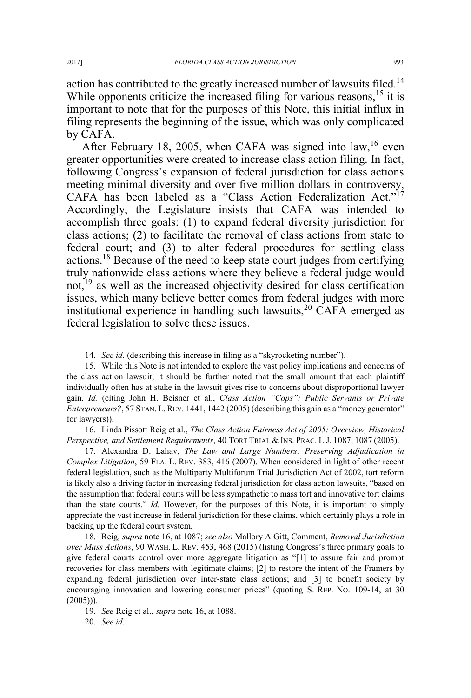action has contributed to the greatly increased number of lawsuits filed.<sup>14</sup> While opponents criticize the increased filing for various reasons,  $15$  it is important to note that for the purposes of this Note, this initial influx in filing represents the beginning of the issue, which was only complicated by CAFA.

After February 18, 2005, when CAFA was signed into  $law<sub>16</sub>$  even greater opportunities were created to increase class action filing. In fact, following Congress's expansion of federal jurisdiction for class actions meeting minimal diversity and over five million dollars in controversy, CAFA has been labeled as a "Class Action Federalization Act."<sup>17</sup> Accordingly, the Legislature insists that CAFA was intended to accomplish three goals: (1) to expand federal diversity jurisdiction for class actions; (2) to facilitate the removal of class actions from state to federal court; and (3) to alter federal procedures for settling class actions.<sup>18</sup> Because of the need to keep state court judges from certifying truly nationwide class actions where they believe a federal judge would not, $^{19}$  as well as the increased objectivity desired for class certification issues, which many believe better comes from federal judges with more institutional experience in handling such lawsuits,  $20^\circ$  CAFA emerged as federal legislation to solve these issues.

16. Linda Pissott Reig et al., *The Class Action Fairness Act of 2005: Overview, Historical Perspective, and Settlement Requirements*, 40 TORT TRIAL & INS. PRAC. L.J. 1087, 1087 (2005).

17. Alexandra D. Lahav, *The Law and Large Numbers: Preserving Adjudication in Complex Litigation*, 59 FLA. L. REV. 383, 416 (2007). When considered in light of other recent federal legislation, such as the Multiparty Multiforum Trial Jurisdiction Act of 2002, tort reform is likely also a driving factor in increasing federal jurisdiction for class action lawsuits, "based on the assumption that federal courts will be less sympathetic to mass tort and innovative tort claims than the state courts." *Id.* However, for the purposes of this Note, it is important to simply appreciate the vast increase in federal jurisdiction for these claims, which certainly plays a role in backing up the federal court system.

18. Reig, *supra* note 16, at 1087; *see also* Mallory A Gitt, Comment, *Removal Jurisdiction over Mass Actions*, 90 WASH. L. REV. 453, 468 (2015) (listing Congress's three primary goals to give federal courts control over more aggregate litigation as "[1] to assure fair and prompt recoveries for class members with legitimate claims; [2] to restore the intent of the Framers by expanding federal jurisdiction over inter-state class actions; and [3] to benefit society by encouraging innovation and lowering consumer prices" (quoting S. REP. NO. 109-14, at 30  $(2005))$ ).

20. *See id.*

 <sup>14.</sup> *See id.* (describing this increase in filing as a "skyrocketing number").

<sup>15.</sup> While this Note is not intended to explore the vast policy implications and concerns of the class action lawsuit, it should be further noted that the small amount that each plaintiff individually often has at stake in the lawsuit gives rise to concerns about disproportional lawyer gain. *Id.* (citing John H. Beisner et al., *Class Action "Cops": Public Servants or Private Entrepreneurs?*, 57 STAN. L. REV. 1441, 1442 (2005) (describing this gain as a "money generator" for lawyers)).

<sup>19.</sup> *See* Reig et al., *supra* note 16, at 1088.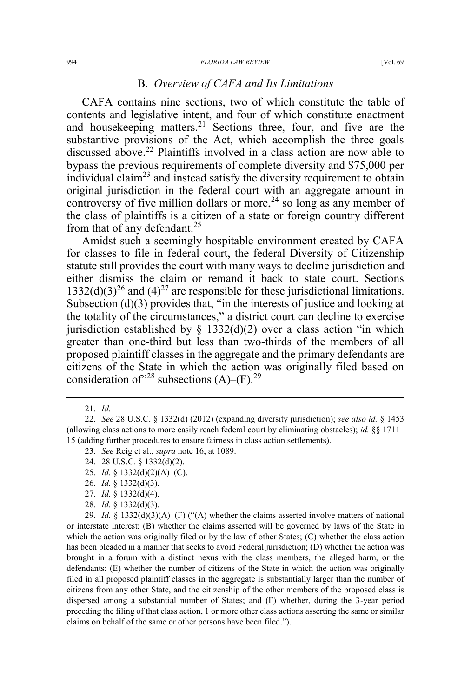#### 994 *FLORIDA LAW REVIEW* [Vol. 69

# B. *Overview of CAFA and Its Limitations*

CAFA contains nine sections, two of which constitute the table of contents and legislative intent, and four of which constitute enactment and housekeeping matters.<sup>21</sup> Sections three, four, and five are the substantive provisions of the Act, which accomplish the three goals discussed above.<sup>22</sup> Plaintiffs involved in a class action are now able to bypass the previous requirements of complete diversity and \$75,000 per individual claim<sup>23</sup> and instead satisfy the diversity requirement to obtain original jurisdiction in the federal court with an aggregate amount in controversy of five million dollars or more,<sup>24</sup> so long as any member of the class of plaintiffs is a citizen of a state or foreign country different from that of any defendant.<sup>25</sup>

Amidst such a seemingly hospitable environment created by CAFA for classes to file in federal court, the federal Diversity of Citizenship statute still provides the court with many ways to decline jurisdiction and either dismiss the claim or remand it back to state court. Sections 1332(d)(3)<sup>26</sup> and (4)<sup>27</sup> are responsible for these jurisdictional limitations. Subsection (d)(3) provides that, "in the interests of justice and looking at the totality of the circumstances," a district court can decline to exercise jurisdiction established by  $\S$  1332(d)(2) over a class action "in which greater than one-third but less than two-thirds of the members of all proposed plaintiff classes in the aggregate and the primary defendants are citizens of the State in which the action was originally filed based on consideration of  $28$  subsections (A)–(F).<sup>29</sup>

- 24. 28 U.S.C. § 1332(d)(2).
- 25. *Id.* § 1332(d)(2)(A)–(C).
- 26. *Id.* § 1332(d)(3).
- 27. *Id.* § 1332(d)(4).
- 28. *Id.* § 1332(d)(3).

29. *Id.* § 1332(d)(3)(A)–(F) ("(A) whether the claims asserted involve matters of national or interstate interest; (B) whether the claims asserted will be governed by laws of the State in which the action was originally filed or by the law of other States; (C) whether the class action has been pleaded in a manner that seeks to avoid Federal jurisdiction; (D) whether the action was brought in a forum with a distinct nexus with the class members, the alleged harm, or the defendants; (E) whether the number of citizens of the State in which the action was originally filed in all proposed plaintiff classes in the aggregate is substantially larger than the number of citizens from any other State, and the citizenship of the other members of the proposed class is dispersed among a substantial number of States; and (F) whether, during the 3-year period preceding the filing of that class action, 1 or more other class actions asserting the same or similar claims on behalf of the same or other persons have been filed.").

 <sup>21.</sup> *Id.*

<sup>22.</sup> *See* 28 U.S.C. § 1332(d) (2012) (expanding diversity jurisdiction); *see also id.* § 1453 (allowing class actions to more easily reach federal court by eliminating obstacles); *id.* §§ 1711– 15 (adding further procedures to ensure fairness in class action settlements).

<sup>23.</sup> *See* Reig et al., *supra* note 16, at 1089.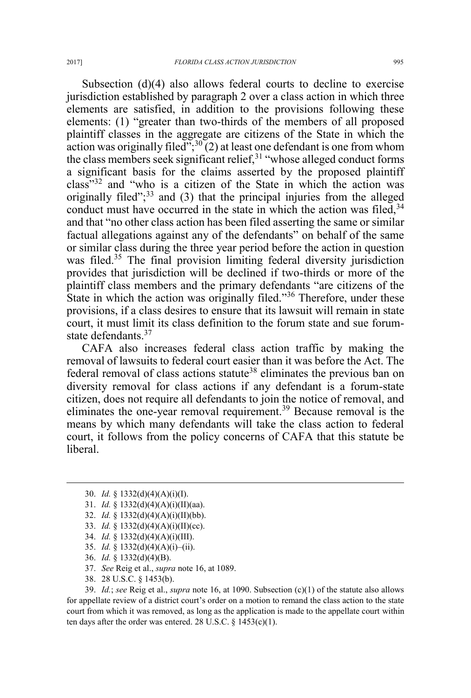Subsection (d)(4) also allows federal courts to decline to exercise jurisdiction established by paragraph 2 over a class action in which three elements are satisfied, in addition to the provisions following these elements: (1) "greater than two-thirds of the members of all proposed plaintiff classes in the aggregate are citizens of the State in which the action was originally filed<sup>", 30</sup> $(2)$  at least one defendant is one from whom the class members seek significant relief, $31$  "whose alleged conduct forms a significant basis for the claims asserted by the proposed plaintiff class"<sup>32</sup> and "who is a citizen of the State in which the action was originally filed"; $33$  and (3) that the principal injuries from the alleged conduct must have occurred in the state in which the action was filed,  $34$ and that "no other class action has been filed asserting the same or similar factual allegations against any of the defendants" on behalf of the same or similar class during the three year period before the action in question was filed.<sup>35</sup> The final provision limiting federal diversity jurisdiction provides that jurisdiction will be declined if two-thirds or more of the plaintiff class members and the primary defendants "are citizens of the State in which the action was originally filed."<sup>36</sup> Therefore, under these provisions, if a class desires to ensure that its lawsuit will remain in state court, it must limit its class definition to the forum state and sue forumstate defendants.<sup>37</sup>

CAFA also increases federal class action traffic by making the removal of lawsuits to federal court easier than it was before the Act. The federal removal of class actions statute<sup>38</sup> eliminates the previous ban on diversity removal for class actions if any defendant is a forum-state citizen, does not require all defendants to join the notice of removal, and eliminates the one-year removal requirement.<sup>39</sup> Because removal is the means by which many defendants will take the class action to federal court, it follows from the policy concerns of CAFA that this statute be liberal.

- 32. *Id.* § 1332(d)(4)(A)(i)(II)(bb).
- 33. *Id.* § 1332(d)(4)(A)(i)(II)(cc).
- 34. *Id.* § 1332(d)(4)(A)(i)(III).
- 35. *Id.* § 1332(d)(4)(A)(i)–(ii).
- 36. *Id.* § 1332(d)(4)(B).
- 37. *See* Reig et al., *supra* note 16, at 1089.
- 38. 28 U.S.C. § 1453(b).

39. *Id.*; *see* Reig et al., *supra* note 16, at 1090. Subsection (c)(1) of the statute also allows for appellate review of a district court's order on a motion to remand the class action to the state court from which it was removed, as long as the application is made to the appellate court within ten days after the order was entered. 28 U.S.C.  $\S$  1453(c)(1).

 <sup>30.</sup> *Id.* § 1332(d)(4)(A)(i)(I).

<sup>31.</sup> *Id.* § 1332(d)(4)(A)(i)(II)(aa).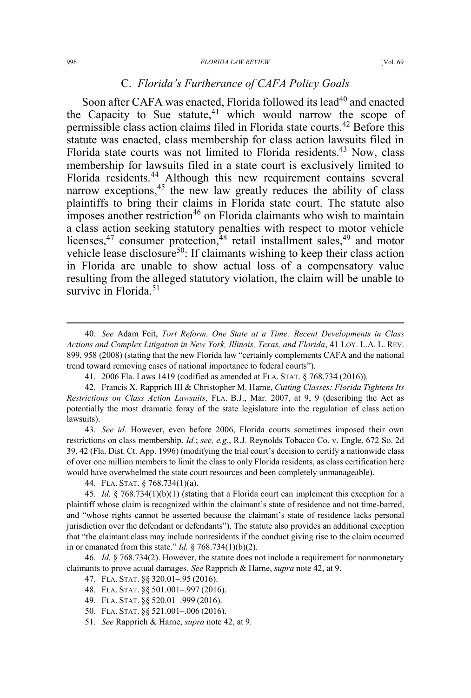#### 996 *FLORIDA LAW REVIEW* [Vol. 69

## C. *Florida's Furtherance of CAFA Policy Goals*

Soon after CAFA was enacted, Florida followed its lead<sup>40</sup> and enacted the Capacity to Sue statute,  $41 \times 10^{-4}$  which would narrow the scope of permissible class action claims filed in Florida state courts.<sup>42</sup> Before this statute was enacted, class membership for class action lawsuits filed in Florida state courts was not limited to Florida residents.<sup>43</sup> Now, class membership for lawsuits filed in a state court is exclusively limited to Florida residents.<sup>44</sup> Although this new requirement contains several narrow exceptions, $45$  the new law greatly reduces the ability of class plaintiffs to bring their claims in Florida state court. The statute also imposes another restriction<sup>46</sup> on Florida claimants who wish to maintain a class action seeking statutory penalties with respect to motor vehicle licenses, $47$  consumer protection, $48$  retail installment sales, $49$  and motor vehicle lease disclosure<sup>50</sup>: If claimants wishing to keep their class action in Florida are unable to show actual loss of a compensatory value resulting from the alleged statutory violation, the claim will be unable to survive in Florida. $51$ 

43. *See id.* However, even before 2006, Florida courts sometimes imposed their own restrictions on class membership. *Id.*; *see, e.g.*, R.J. Reynolds Tobacco Co. v. Engle, 672 So. 2d 39, 42 (Fla. Dist. Ct. App. 1996) (modifying the trial court's decision to certify a nationwide class of over one million members to limit the class to only Florida residents, as class certification here would have overwhelmed the state court resources and been completely unmanageable).

44. FLA. STAT. § 768.734(1)(a).

45. *Id.* § 768.734(1)(b)(1) (stating that a Florida court can implement this exception for a plaintiff whose claim is recognized within the claimant's state of residence and not time-barred, and "whose rights cannot be asserted because the claimant's state of residence lacks personal jurisdiction over the defendant or defendants"). The statute also provides an additional exception that "the claimant class may include nonresidents if the conduct giving rise to the claim occurred in or emanated from this state." *Id.* § 768.734(1)(b)(2).

46. *Id.* § 768.734(2). However, the statute does not include a requirement for nonmonetary claimants to prove actual damages. *See* Rapprich & Harne, *supra* note 42, at 9.

47. FLA. STAT. §§ 320.01–.95 (2016).

51. *See* Rapprich & Harne, *supra* note 42, at 9.

 <sup>40.</sup> *See* Adam Feit, *Tort Reform, One State at a Time: Recent Developments in Class Actions and Complex Litigation in New York, Illinois, Texas, and Florida*, 41 LOY. L.A. L. REV. 899, 958 (2008) (stating that the new Florida law "certainly complements CAFA and the national trend toward removing cases of national importance to federal courts").

<sup>41. 2006</sup> Fla. Laws 1419 (codified as amended at FLA. STAT. § 768.734 (2016)).

<sup>42.</sup> Francis X. Rapprich III & Christopher M. Harne, *Cutting Classes: Florida Tightens Its Restrictions on Class Action Lawsuits*, FLA. B.J., Mar. 2007, at 9, 9 (describing the Act as potentially the most dramatic foray of the state legislature into the regulation of class action lawsuits).

<sup>48.</sup> FLA. STAT. §§ 501.001–.997 (2016).

<sup>49.</sup> FLA. STAT. §§ 520.01–.999 (2016).

<sup>50.</sup> FLA. STAT. §§ 521.001–.006 (2016).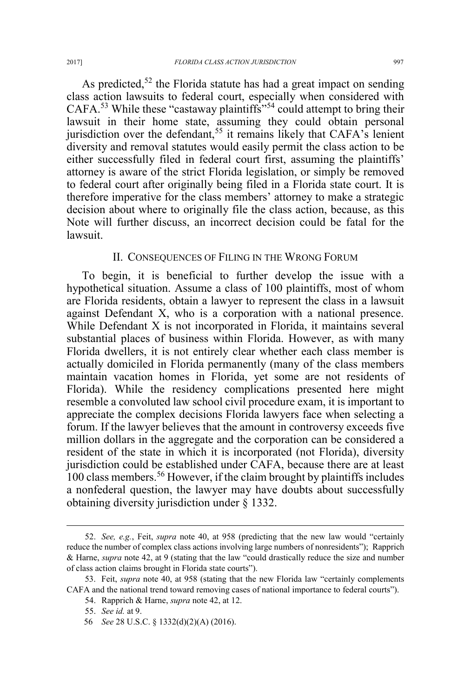As predicted,<sup>52</sup> the Florida statute has had a great impact on sending class action lawsuits to federal court, especially when considered with CAFA.<sup>53</sup> While these "castaway plaintiffs"<sup>54</sup> could attempt to bring their lawsuit in their home state, assuming they could obtain personal jurisdiction over the defendant,  $55$  it remains likely that CAFA's lenient diversity and removal statutes would easily permit the class action to be either successfully filed in federal court first, assuming the plaintiffs' attorney is aware of the strict Florida legislation, or simply be removed to federal court after originally being filed in a Florida state court. It is therefore imperative for the class members' attorney to make a strategic decision about where to originally file the class action, because, as this Note will further discuss, an incorrect decision could be fatal for the lawsuit.

### II. CONSEQUENCES OF FILING IN THE WRONG FORUM

To begin, it is beneficial to further develop the issue with a hypothetical situation. Assume a class of 100 plaintiffs, most of whom are Florida residents, obtain a lawyer to represent the class in a lawsuit against Defendant X, who is a corporation with a national presence. While Defendant X is not incorporated in Florida, it maintains several substantial places of business within Florida. However, as with many Florida dwellers, it is not entirely clear whether each class member is actually domiciled in Florida permanently (many of the class members maintain vacation homes in Florida, yet some are not residents of Florida). While the residency complications presented here might resemble a convoluted law school civil procedure exam, it is important to appreciate the complex decisions Florida lawyers face when selecting a forum. If the lawyer believes that the amount in controversy exceeds five million dollars in the aggregate and the corporation can be considered a resident of the state in which it is incorporated (not Florida), diversity jurisdiction could be established under CAFA, because there are at least  $100$  class members.<sup>56</sup> However, if the claim brought by plaintiffs includes a nonfederal question, the lawyer may have doubts about successfully obtaining diversity jurisdiction under § 1332.

 <sup>52.</sup> *See, e.g.*, Feit, *supra* note 40, at 958 (predicting that the new law would "certainly reduce the number of complex class actions involving large numbers of nonresidents"); Rapprich & Harne, *supra* note 42, at 9 (stating that the law "could drastically reduce the size and number of class action claims brought in Florida state courts").

<sup>53.</sup> Feit, *supra* note 40, at 958 (stating that the new Florida law "certainly complements CAFA and the national trend toward removing cases of national importance to federal courts").

<sup>54.</sup> Rapprich & Harne, *supra* note 42, at 12.

<sup>55.</sup> *See id.* at 9.

<sup>56</sup> *See* 28 U.S.C. § 1332(d)(2)(A) (2016).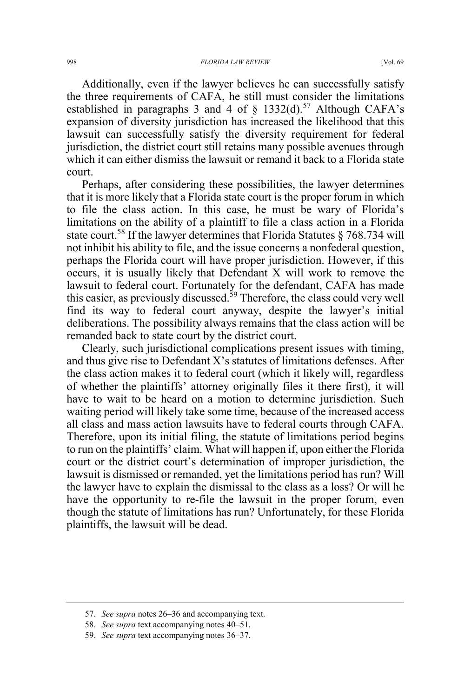Additionally, even if the lawyer believes he can successfully satisfy the three requirements of CAFA, he still must consider the limitations established in paragraphs 3 and 4 of  $\S$  1332(d).<sup>57</sup> Although CAFA's expansion of diversity jurisdiction has increased the likelihood that this lawsuit can successfully satisfy the diversity requirement for federal jurisdiction, the district court still retains many possible avenues through which it can either dismiss the lawsuit or remand it back to a Florida state court.

Perhaps, after considering these possibilities, the lawyer determines that it is more likely that a Florida state court is the proper forum in which to file the class action. In this case, he must be wary of Florida's limitations on the ability of a plaintiff to file a class action in a Florida state court.<sup>58</sup> If the lawyer determines that Florida Statutes  $\S 768.734$  will not inhibit his ability to file, and the issue concerns a nonfederal question, perhaps the Florida court will have proper jurisdiction. However, if this occurs, it is usually likely that Defendant X will work to remove the lawsuit to federal court. Fortunately for the defendant, CAFA has made this easier, as previously discussed.<sup>59</sup> Therefore, the class could very well find its way to federal court anyway, despite the lawyer's initial deliberations. The possibility always remains that the class action will be remanded back to state court by the district court.

Clearly, such jurisdictional complications present issues with timing, and thus give rise to Defendant X's statutes of limitations defenses. After the class action makes it to federal court (which it likely will, regardless of whether the plaintiffs' attorney originally files it there first), it will have to wait to be heard on a motion to determine jurisdiction. Such waiting period will likely take some time, because of the increased access all class and mass action lawsuits have to federal courts through CAFA. Therefore, upon its initial filing, the statute of limitations period begins to run on the plaintiffs' claim. What will happen if, upon either the Florida court or the district court's determination of improper jurisdiction, the lawsuit is dismissed or remanded, yet the limitations period has run? Will the lawyer have to explain the dismissal to the class as a loss? Or will he have the opportunity to re-file the lawsuit in the proper forum, even though the statute of limitations has run? Unfortunately, for these Florida plaintiffs, the lawsuit will be dead.

 <sup>57.</sup> *See supra* notes 26–36 and accompanying text.

<sup>58.</sup> *See supra* text accompanying notes 40–51.

<sup>59.</sup> *See supra* text accompanying notes 36–37.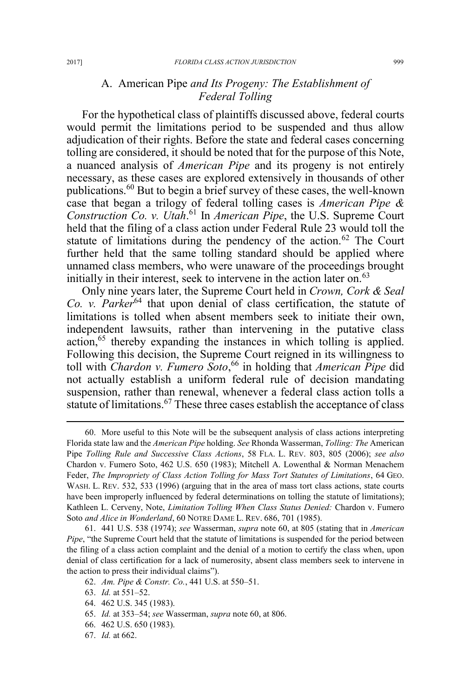# A. American Pipe *and Its Progeny: The Establishment of Federal Tolling*

For the hypothetical class of plaintiffs discussed above, federal courts would permit the limitations period to be suspended and thus allow adjudication of their rights. Before the state and federal cases concerning tolling are considered, it should be noted that for the purpose of this Note, a nuanced analysis of *American Pipe* and its progeny is not entirely necessary, as these cases are explored extensively in thousands of other publications.<sup>60</sup> But to begin a brief survey of these cases, the well-known case that began a trilogy of federal tolling cases is *American Pipe & Construction Co. v. Utah*. <sup>61</sup> In *American Pipe*, the U.S. Supreme Court held that the filing of a class action under Federal Rule 23 would toll the statute of limitations during the pendency of the action.<sup>62</sup> The Court further held that the same tolling standard should be applied where unnamed class members, who were unaware of the proceedings brought initially in their interest, seek to intervene in the action later on.<sup>63</sup>

Only nine years later, the Supreme Court held in *Crown, Cork & Seal Co. v. Parker*<sup>64</sup> that upon denial of class certification, the statute of limitations is tolled when absent members seek to initiate their own, independent lawsuits, rather than intervening in the putative class  $\alpha$  action,<sup>65</sup> thereby expanding the instances in which tolling is applied. Following this decision, the Supreme Court reigned in its willingness to toll with *Chardon v. Fumero Soto*, <sup>66</sup> in holding that *American Pipe* did not actually establish a uniform federal rule of decision mandating suspension, rather than renewal, whenever a federal class action tolls a statute of limitations.<sup>67</sup> These three cases establish the acceptance of class

 <sup>60.</sup> More useful to this Note will be the subsequent analysis of class actions interpreting Florida state law and the *American Pipe* holding. *See* Rhonda Wasserman, *Tolling: The* American Pipe *Tolling Rule and Successive Class Actions*, 58 FLA. L. REV. 803, 805 (2006); *see also* Chardon v. Fumero Soto, 462 U.S. 650 (1983); Mitchell A. Lowenthal & Norman Menachem Feder, *The Impropriety of Class Action Tolling for Mass Tort Statutes of Limitations*, 64 GEO. WASH. L. REV. 532, 533 (1996) (arguing that in the area of mass tort class actions, state courts have been improperly influenced by federal determinations on tolling the statute of limitations); Kathleen L. Cerveny, Note, *Limitation Tolling When Class Status Denied:* Chardon v. Fumero Soto *and Alice in Wonderland*, 60 NOTRE DAME L. REV. 686, 701 (1985).

<sup>61. 441</sup> U.S. 538 (1974); *see* Wasserman, *supra* note 60, at 805 (stating that in *American Pipe*, "the Supreme Court held that the statute of limitations is suspended for the period between the filing of a class action complaint and the denial of a motion to certify the class when, upon denial of class certification for a lack of numerosity, absent class members seek to intervene in the action to press their individual claims").

<sup>62.</sup> *Am. Pipe & Constr. Co.*, 441 U.S. at 550–51.

<sup>63.</sup> *Id.* at 551–52.

<sup>64. 462</sup> U.S. 345 (1983).

<sup>65.</sup> *Id.* at 353–54; *see* Wasserman, *supra* note 60, at 806.

<sup>66. 462</sup> U.S. 650 (1983).

<sup>67.</sup> *Id.* at 662.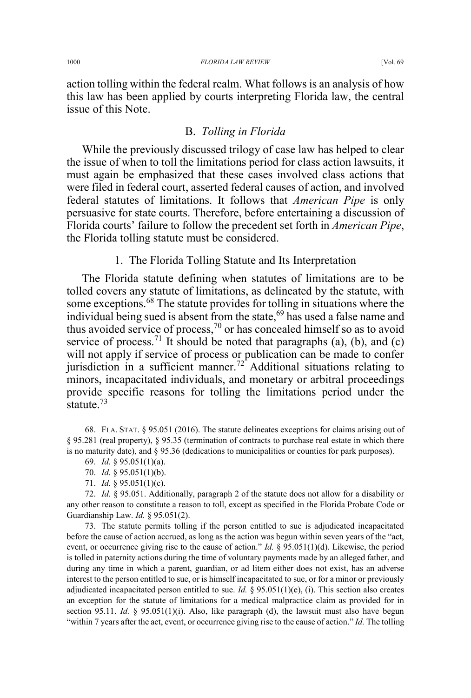action tolling within the federal realm. What follows is an analysis of how this law has been applied by courts interpreting Florida law, the central issue of this Note.

### B. *Tolling in Florida*

While the previously discussed trilogy of case law has helped to clear the issue of when to toll the limitations period for class action lawsuits, it must again be emphasized that these cases involved class actions that were filed in federal court, asserted federal causes of action, and involved federal statutes of limitations. It follows that *American Pipe* is only persuasive for state courts. Therefore, before entertaining a discussion of Florida courts' failure to follow the precedent set forth in *American Pipe*, the Florida tolling statute must be considered.

1. The Florida Tolling Statute and Its Interpretation

The Florida statute defining when statutes of limitations are to be tolled covers any statute of limitations, as delineated by the statute, with some exceptions.<sup>68</sup> The statute provides for tolling in situations where the individual being sued is absent from the state,<sup>69</sup> has used a false name and thus avoided service of process,<sup>70</sup> or has concealed himself so as to avoid service of process.<sup>71</sup> It should be noted that paragraphs (a), (b), and (c) will not apply if service of process or publication can be made to confer jurisdiction in a sufficient manner.<sup>72</sup> Additional situations relating to minors, incapacitated individuals, and monetary or arbitral proceedings provide specific reasons for tolling the limitations period under the statute.<sup>73</sup>

73. The statute permits tolling if the person entitled to sue is adjudicated incapacitated before the cause of action accrued, as long as the action was begun within seven years of the "act, event, or occurrence giving rise to the cause of action." *Id.* § 95.051(1)(d). Likewise, the period is tolled in paternity actions during the time of voluntary payments made by an alleged father, and during any time in which a parent, guardian, or ad litem either does not exist, has an adverse interest to the person entitled to sue, or is himself incapacitated to sue, or for a minor or previously adjudicated incapacitated person entitled to sue. *Id.* § 95.051(1)(e), (i). This section also creates an exception for the statute of limitations for a medical malpractice claim as provided for in section 95.11. *Id.*  $\frac{8}{3}$  95.051(1)(i). Also, like paragraph (d), the lawsuit must also have begun "within 7 years after the act, event, or occurrence giving rise to the cause of action." *Id.* The tolling

 <sup>68.</sup> FLA. STAT. § 95.051 (2016). The statute delineates exceptions for claims arising out of § 95.281 (real property), § 95.35 (termination of contracts to purchase real estate in which there is no maturity date), and § 95.36 (dedications to municipalities or counties for park purposes).

<sup>69.</sup> *Id.* § 95.051(1)(a).

<sup>70.</sup> *Id.* § 95.051(1)(b).

<sup>71.</sup> *Id.* § 95.051(1)(c).

<sup>72.</sup> *Id.* § 95.051. Additionally, paragraph 2 of the statute does not allow for a disability or any other reason to constitute a reason to toll, except as specified in the Florida Probate Code or Guardianship Law. *Id.* § 95.051(2).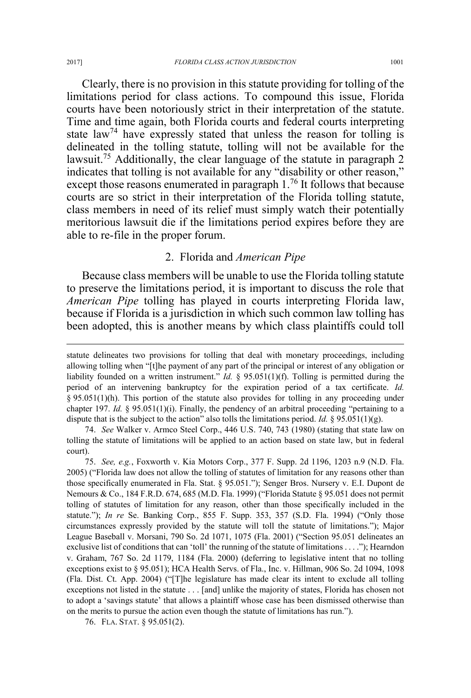Clearly, there is no provision in this statute providing for tolling of the limitations period for class actions. To compound this issue, Florida courts have been notoriously strict in their interpretation of the statute. Time and time again, both Florida courts and federal courts interpreting state law<sup>74</sup> have expressly stated that unless the reason for tolling is delineated in the tolling statute, tolling will not be available for the lawsuit.<sup>75</sup> Additionally, the clear language of the statute in paragraph 2 indicates that tolling is not available for any "disability or other reason," except those reasons enumerated in paragraph 1.<sup>76</sup> It follows that because courts are so strict in their interpretation of the Florida tolling statute, class members in need of its relief must simply watch their potentially meritorious lawsuit die if the limitations period expires before they are able to re-file in the proper forum.

### 2. Florida and *American Pipe*

Because class members will be unable to use the Florida tolling statute to preserve the limitations period, it is important to discuss the role that *American Pipe* tolling has played in courts interpreting Florida law, because if Florida is a jurisdiction in which such common law tolling has been adopted, this is another means by which class plaintiffs could toll

75. *See, e.g.*, Foxworth v. Kia Motors Corp., 377 F. Supp. 2d 1196, 1203 n.9 (N.D. Fla. 2005) ("Florida law does not allow the tolling of statutes of limitation for any reasons other than those specifically enumerated in Fla. Stat. § 95.051."); Senger Bros. Nursery v. E.I. Dupont de Nemours & Co., 184 F.R.D. 674, 685 (M.D. Fla. 1999) ("Florida Statute § 95.051 does not permit tolling of statutes of limitation for any reason, other than those specifically included in the statute."); *In re* Se. Banking Corp., 855 F. Supp. 353, 357 (S.D. Fla. 1994) ("Only those circumstances expressly provided by the statute will toll the statute of limitations."); Major League Baseball v. Morsani, 790 So. 2d 1071, 1075 (Fla. 2001) ("Section 95.051 delineates an exclusive list of conditions that can 'toll' the running of the statute of limitations . . . ."); Hearndon v. Graham, 767 So. 2d 1179, 1184 (Fla. 2000) (deferring to legislative intent that no tolling exceptions exist to § 95.051); HCA Health Servs. of Fla., Inc. v. Hillman, 906 So. 2d 1094, 1098 (Fla. Dist. Ct. App. 2004) ("[T]he legislature has made clear its intent to exclude all tolling exceptions not listed in the statute . . . [and] unlike the majority of states, Florida has chosen not to adopt a 'savings statute' that allows a plaintiff whose case has been dismissed otherwise than on the merits to pursue the action even though the statute of limitations has run.").

76. FLA. STAT. § 95.051(2).

 $\overline{a}$ 

statute delineates two provisions for tolling that deal with monetary proceedings, including allowing tolling when "[t]he payment of any part of the principal or interest of any obligation or liability founded on a written instrument." *Id.* § 95.051(1)(f). Tolling is permitted during the period of an intervening bankruptcy for the expiration period of a tax certificate. *Id.*  § 95.051(1)(h). This portion of the statute also provides for tolling in any proceeding under chapter 197. *Id.* § 95.051(1)(i). Finally, the pendency of an arbitral proceeding "pertaining to a dispute that is the subject to the action" also tolls the limitations period. *Id.* § 95.051(1)(g).

<sup>74.</sup> *See* Walker v. Armco Steel Corp., 446 U.S. 740, 743 (1980) (stating that state law on tolling the statute of limitations will be applied to an action based on state law, but in federal court).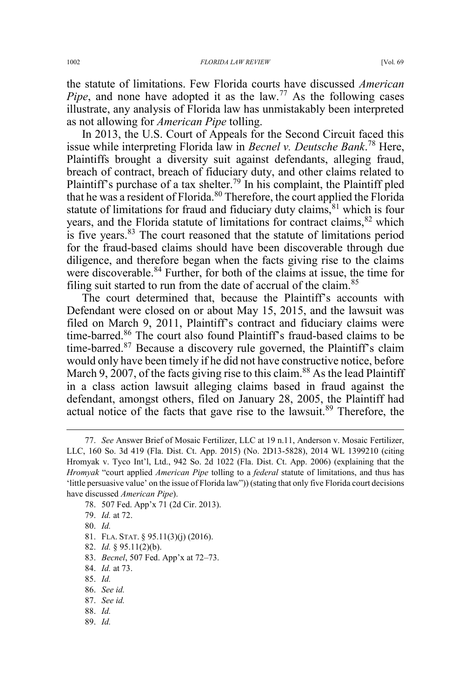the statute of limitations. Few Florida courts have discussed *American Pipe*, and none have adopted it as the law.<sup>77</sup> As the following cases illustrate, any analysis of Florida law has unmistakably been interpreted as not allowing for *American Pipe* tolling.

In 2013, the U.S. Court of Appeals for the Second Circuit faced this issue while interpreting Florida law in *Becnel v. Deutsche Bank*. <sup>78</sup> Here, Plaintiffs brought a diversity suit against defendants, alleging fraud, breach of contract, breach of fiduciary duty, and other claims related to Plaintiff's purchase of a tax shelter.<sup>79</sup> In his complaint, the Plaintiff pled that he was a resident of Florida.<sup>80</sup> Therefore, the court applied the Florida statute of limitations for fraud and fiduciary duty claims, $81$  which is four years, and the Florida statute of limitations for contract claims, <sup>82</sup> which is five years.<sup>83</sup> The court reasoned that the statute of limitations period for the fraud-based claims should have been discoverable through due diligence, and therefore began when the facts giving rise to the claims were discoverable.<sup>84</sup> Further, for both of the claims at issue, the time for filing suit started to run from the date of accrual of the claim. $85$ 

The court determined that, because the Plaintiff's accounts with Defendant were closed on or about May 15, 2015, and the lawsuit was filed on March 9, 2011, Plaintiff's contract and fiduciary claims were time-barred.<sup>86</sup> The court also found Plaintiff's fraud-based claims to be time-barred. $87$  Because a discovery rule governed, the Plaintiff's claim would only have been timely if he did not have constructive notice, before March 9, 2007, of the facts giving rise to this claim.<sup>88</sup> As the lead Plaintiff in a class action lawsuit alleging claims based in fraud against the defendant, amongst others, filed on January 28, 2005, the Plaintiff had actual notice of the facts that gave rise to the lawsuit.<sup>89</sup> Therefore, the

- 78. 507 Fed. App'x 71 (2d Cir. 2013).
- 79. *Id.* at 72.
- 80. *Id.*
- 81. FLA. STAT. § 95.11(3)(j) (2016).
- 82. *Id.* § 95.11(2)(b).
- 83. *Becnel*, 507 Fed. App'x at 72–73.
- 84. *Id.* at 73.
- 85. *Id.*
- 86. *See id.*
- 87. *See id.*
- 88. *Id.*
- 89. *Id.*

 <sup>77.</sup> *See* Answer Brief of Mosaic Fertilizer, LLC at 19 n.11, Anderson v. Mosaic Fertilizer, LLC, 160 So. 3d 419 (Fla. Dist. Ct. App. 2015) (No. 2D13-5828), 2014 WL 1399210 (citing Hromyak v. Tyco Int'l, Ltd., 942 So. 2d 1022 (Fla. Dist. Ct. App. 2006) (explaining that the *Hromyak* "court applied *American Pipe* tolling to a *federal* statute of limitations, and thus has 'little persuasive value' on the issue of Florida law")) (stating that only five Florida court decisions have discussed *American Pipe*).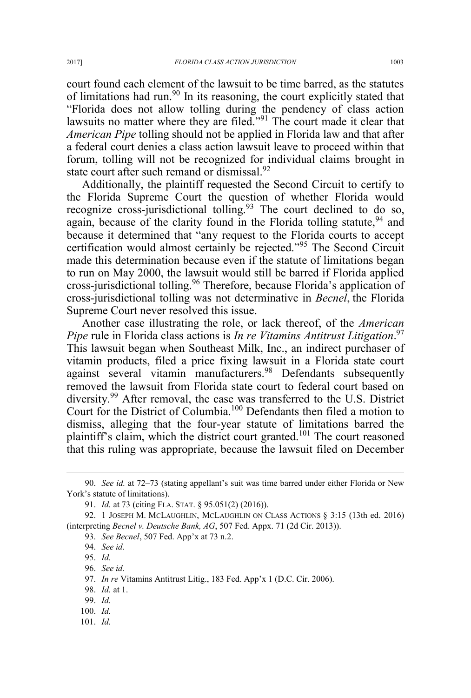court found each element of the lawsuit to be time barred, as the statutes of limitations had run.<sup>90</sup> In its reasoning, the court explicitly stated that "Florida does not allow tolling during the pendency of class action lawsuits no matter where they are filed."<sup>91</sup> The court made it clear that *American Pipe* tolling should not be applied in Florida law and that after a federal court denies a class action lawsuit leave to proceed within that forum, tolling will not be recognized for individual claims brought in state court after such remand or dismissal. $92$ 

Additionally, the plaintiff requested the Second Circuit to certify to the Florida Supreme Court the question of whether Florida would recognize cross-jurisdictional tolling.<sup>93</sup> The court declined to do so, again, because of the clarity found in the Florida tolling statute,  $94$  and because it determined that "any request to the Florida courts to accept certification would almost certainly be rejected."<sup>95</sup> The Second Circuit made this determination because even if the statute of limitations began to run on May 2000, the lawsuit would still be barred if Florida applied cross-jurisdictional tolling.<sup>96</sup> Therefore, because Florida's application of cross-jurisdictional tolling was not determinative in *Becnel*, the Florida Supreme Court never resolved this issue.

Another case illustrating the role, or lack thereof, of the *American Pipe* rule in Florida class actions is *In re Vitamins Antitrust Litigation*. 97 This lawsuit began when Southeast Milk, Inc., an indirect purchaser of vitamin products, filed a price fixing lawsuit in a Florida state court against several vitamin manufacturers.<sup>98</sup> Defendants subsequently removed the lawsuit from Florida state court to federal court based on diversity.<sup>99</sup> After removal, the case was transferred to the U.S. District Court for the District of Columbia.100 Defendants then filed a motion to dismiss, alleging that the four-year statute of limitations barred the plaintiff's claim, which the district court granted.<sup>101</sup> The court reasoned that this ruling was appropriate, because the lawsuit filed on December

101. *Id.*

 <sup>90.</sup> *See id.* at 72–73 (stating appellant's suit was time barred under either Florida or New York's statute of limitations).

<sup>91.</sup> *Id.* at 73 (citing FLA. STAT. § 95.051(2) (2016)).

<sup>92. 1</sup> JOSEPH M. MCLAUGHLIN, MCLAUGHLIN ON CLASS ACTIONS § 3:15 (13th ed. 2016) (interpreting *Becnel v. Deutsche Bank, AG*, 507 Fed. Appx. 71 (2d Cir. 2013)).

<sup>93.</sup> *See Becnel*, 507 Fed. App'x at 73 n.2.

<sup>94.</sup> *See id.*

<sup>95.</sup> *Id.*

<sup>96.</sup> *See id.*

<sup>97.</sup> *In re* Vitamins Antitrust Litig., 183 Fed. App'x 1 (D.C. Cir. 2006).

<sup>98.</sup> *Id.* at 1.

<sup>99.</sup> *Id.*

<sup>100.</sup> *Id.*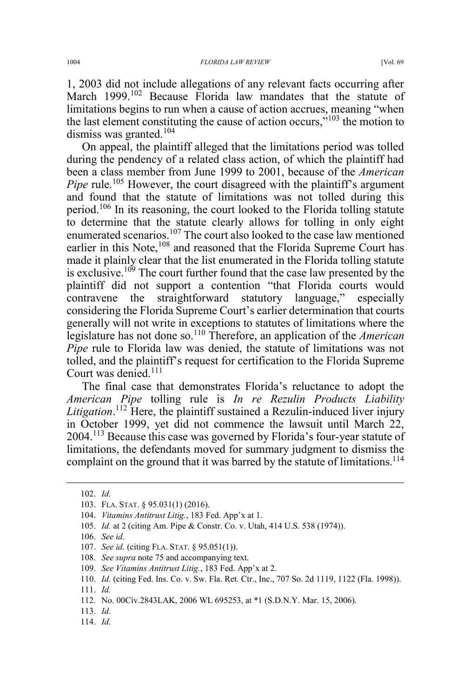1, 2003 did not include allegations of any relevant facts occurring after March 1999.<sup>102</sup> Because Florida law mandates that the statute of limitations begins to run when a cause of action accrues, meaning "when the last element constituting the cause of action occurs," $103$  the motion to dismiss was granted.<sup>104</sup>

On appeal, the plaintiff alleged that the limitations period was tolled during the pendency of a related class action, of which the plaintiff had been a class member from June 1999 to 2001, because of the *American Pipe* rule.<sup>105</sup> However, the court disagreed with the plaintiff's argument and found that the statute of limitations was not tolled during this period.106 In its reasoning, the court looked to the Florida tolling statute to determine that the statute clearly allows for tolling in only eight enumerated scenarios.107 The court also looked to the case law mentioned earlier in this Note,<sup>108</sup> and reasoned that the Florida Supreme Court has made it plainly clear that the list enumerated in the Florida tolling statute is exclusive.<sup> $109$ </sup> The court further found that the case law presented by the plaintiff did not support a contention "that Florida courts would contravene the straightforward statutory language," especially considering the Florida Supreme Court's earlier determination that courts generally will not write in exceptions to statutes of limitations where the legislature has not done so.<sup>110</sup> Therefore, an application of the *American Pipe* rule to Florida law was denied, the statute of limitations was not tolled, and the plaintiff's request for certification to the Florida Supreme Court was denied.<sup>111</sup>

The final case that demonstrates Florida's reluctance to adopt the *American Pipe* tolling rule is *In re Rezulin Products Liability Litigation*. <sup>112</sup> Here, the plaintiff sustained a Rezulin-induced liver injury in October 1999, yet did not commence the lawsuit until March 22, 2004.<sup>113</sup> Because this case was governed by Florida's four-year statute of limitations, the defendants moved for summary judgment to dismiss the complaint on the ground that it was barred by the statute of limitations.<sup>114</sup>

- 108. *See supra* note 75 and accompanying text.
- 109. *See Vitamins Antitrust Litig.*, 183 Fed. App'x at 2.

114. *Id.*

 <sup>102.</sup> *Id.*

<sup>103.</sup> FLA. STAT. § 95.031(1) (2016).

<sup>104.</sup> *Vitamins Antitrust Litig.*, 183 Fed. App'x at 1.

<sup>105.</sup> *Id.* at 2 (citing Am. Pipe & Constr. Co. v. Utah, 414 U.S. 538 (1974)).

<sup>106.</sup> *See id.*

<sup>107.</sup> *See id.* (citing FLA. STAT. § 95.051(1)).

<sup>110.</sup> *Id.* (citing Fed. Ins. Co. v. Sw. Fla. Ret. Ctr., Inc., 707 So. 2d 1119, 1122 (Fla. 1998)).

<sup>111.</sup> *Id.*

<sup>112.</sup> No. 00Civ.2843LAK, 2006 WL 695253, at \*1 (S.D.N.Y. Mar. 15, 2006).

<sup>113.</sup> *Id.*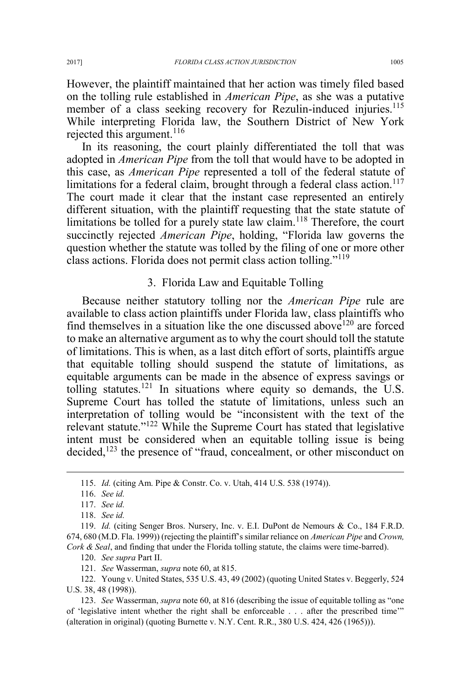However, the plaintiff maintained that her action was timely filed based on the tolling rule established in *American Pipe*, as she was a putative member of a class seeking recovery for Rezulin-induced injuries.<sup>115</sup> While interpreting Florida law, the Southern District of New York rejected this argument. $116$ 

In its reasoning, the court plainly differentiated the toll that was adopted in *American Pipe* from the toll that would have to be adopted in this case, as *American Pipe* represented a toll of the federal statute of limitations for a federal claim, brought through a federal class action.<sup>117</sup> The court made it clear that the instant case represented an entirely different situation, with the plaintiff requesting that the state statute of limitations be tolled for a purely state law claim.<sup>118</sup> Therefore, the court succinctly rejected *American Pipe*, holding, "Florida law governs the question whether the statute was tolled by the filing of one or more other class actions. Florida does not permit class action tolling."<sup>119</sup>

### 3. Florida Law and Equitable Tolling

Because neither statutory tolling nor the *American Pipe* rule are available to class action plaintiffs under Florida law, class plaintiffs who find themselves in a situation like the one discussed above  $120$  are forced to make an alternative argument as to why the court should toll the statute of limitations. This is when, as a last ditch effort of sorts, plaintiffs argue that equitable tolling should suspend the statute of limitations, as equitable arguments can be made in the absence of express savings or tolling statutes.<sup>121</sup> In situations where equity so demands, the U.S. Supreme Court has tolled the statute of limitations, unless such an interpretation of tolling would be "inconsistent with the text of the relevant statute."<sup>122</sup> While the Supreme Court has stated that legislative intent must be considered when an equitable tolling issue is being decided,<sup>123</sup> the presence of "fraud, concealment, or other misconduct on

120. *See supra* Part II.

121. *See* Wasserman, *supra* note 60, at 815.

122. Young v. United States, 535 U.S. 43, 49 (2002) (quoting United States v. Beggerly, 524 U.S. 38, 48 (1998)).

123. *See* Wasserman, *supra* note 60, at 816 (describing the issue of equitable tolling as "one of 'legislative intent whether the right shall be enforceable . . . after the prescribed time'" (alteration in original) (quoting Burnette v. N.Y. Cent. R.R., 380 U.S. 424, 426 (1965))).

 <sup>115.</sup> *Id.* (citing Am. Pipe & Constr. Co. v. Utah, 414 U.S. 538 (1974)).

<sup>116.</sup> *See id.*

<sup>117.</sup> *See id.*

<sup>118.</sup> *See id.*

<sup>119.</sup> *Id.* (citing Senger Bros. Nursery, Inc. v. E.I. DuPont de Nemours & Co., 184 F.R.D. 674, 680 (M.D. Fla. 1999)) (rejecting the plaintiff's similar reliance on *American Pipe* and *Crown, Cork & Seal*, and finding that under the Florida tolling statute, the claims were time-barred).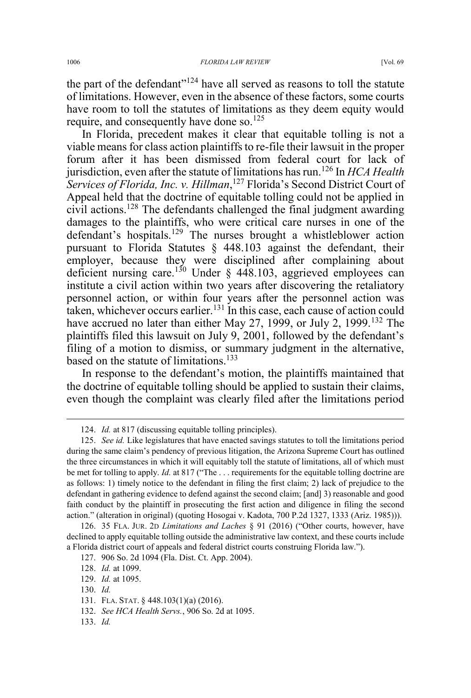the part of the defendant" $124$  have all served as reasons to toll the statute of limitations. However, even in the absence of these factors, some courts have room to toll the statutes of limitations as they deem equity would require, and consequently have done so.<sup>125</sup>

In Florida, precedent makes it clear that equitable tolling is not a viable means for class action plaintiffs to re-file their lawsuit in the proper forum after it has been dismissed from federal court for lack of jurisdiction, even after the statute of limitations has run.<sup>126</sup> In *HCA Health Services of Florida, Inc. v. Hillman*, <sup>127</sup> Florida's Second District Court of Appeal held that the doctrine of equitable tolling could not be applied in civil actions.<sup>128</sup> The defendants challenged the final judgment awarding damages to the plaintiffs, who were critical care nurses in one of the defendant's hospitals.<sup>129</sup> The nurses brought a whistleblower action pursuant to Florida Statutes § 448.103 against the defendant, their employer, because they were disciplined after complaining about deficient nursing care.<sup>130</sup> Under § 448.103, aggrieved employees can institute a civil action within two years after discovering the retaliatory personnel action, or within four years after the personnel action was taken, whichever occurs earlier.<sup>131</sup> In this case, each cause of action could have accrued no later than either May 27, 1999, or July 2, 1999.<sup>132</sup> The plaintiffs filed this lawsuit on July 9, 2001, followed by the defendant's filing of a motion to dismiss, or summary judgment in the alternative, based on the statute of limitations.<sup>133</sup>

In response to the defendant's motion, the plaintiffs maintained that the doctrine of equitable tolling should be applied to sustain their claims, even though the complaint was clearly filed after the limitations period

133. *Id.*

 <sup>124.</sup> *Id.* at 817 (discussing equitable tolling principles).

<sup>125.</sup> *See id.* Like legislatures that have enacted savings statutes to toll the limitations period during the same claim's pendency of previous litigation, the Arizona Supreme Court has outlined the three circumstances in which it will equitably toll the statute of limitations, all of which must be met for tolling to apply. *Id.* at 817 ("The . . . requirements for the equitable tolling doctrine are as follows: 1) timely notice to the defendant in filing the first claim; 2) lack of prejudice to the defendant in gathering evidence to defend against the second claim; [and] 3) reasonable and good faith conduct by the plaintiff in prosecuting the first action and diligence in filing the second action." (alteration in original) (quoting Hosogai v. Kadota, 700 P.2d 1327, 1333 (Ariz. 1985))).

<sup>126. 35</sup> FLA. JUR. 2D *Limitations and Laches* § 91 (2016) ("Other courts, however, have declined to apply equitable tolling outside the administrative law context, and these courts include a Florida district court of appeals and federal district courts construing Florida law.").

<sup>127. 906</sup> So. 2d 1094 (Fla. Dist. Ct. App. 2004).

<sup>128.</sup> *Id.* at 1099.

<sup>129.</sup> *Id.* at 1095.

<sup>130.</sup> *Id.*

<sup>131.</sup> FLA. STAT. § 448.103(1)(a) (2016).

<sup>132.</sup> *See HCA Health Servs.*, 906 So. 2d at 1095.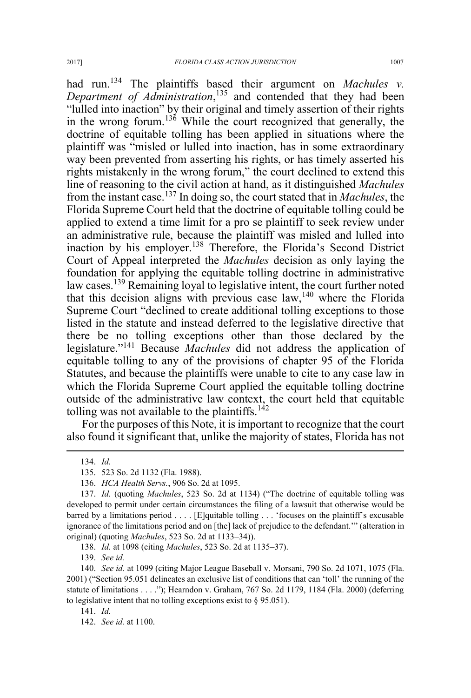had run.<sup>134</sup> The plaintiffs based their argument on *Machules v. Department of Administration*, <sup>135</sup> and contended that they had been "lulled into inaction" by their original and timely assertion of their rights in the wrong forum.<sup>136</sup> While the court recognized that generally, the doctrine of equitable tolling has been applied in situations where the plaintiff was "misled or lulled into inaction, has in some extraordinary way been prevented from asserting his rights, or has timely asserted his rights mistakenly in the wrong forum," the court declined to extend this line of reasoning to the civil action at hand, as it distinguished *Machules* from the instant case.<sup>137</sup> In doing so, the court stated that in *Machules*, the Florida Supreme Court held that the doctrine of equitable tolling could be applied to extend a time limit for a pro se plaintiff to seek review under an administrative rule, because the plaintiff was misled and lulled into inaction by his employer.<sup>138</sup> Therefore, the Florida's Second District Court of Appeal interpreted the *Machules* decision as only laying the foundation for applying the equitable tolling doctrine in administrative law cases.<sup>139</sup> Remaining loyal to legislative intent, the court further noted that this decision aligns with previous case  $law<sub>1</sub><sup>140</sup>$  where the Florida Supreme Court "declined to create additional tolling exceptions to those listed in the statute and instead deferred to the legislative directive that there be no tolling exceptions other than those declared by the legislature."<sup>141</sup> Because *Machules* did not address the application of equitable tolling to any of the provisions of chapter 95 of the Florida Statutes, and because the plaintiffs were unable to cite to any case law in which the Florida Supreme Court applied the equitable tolling doctrine outside of the administrative law context, the court held that equitable tolling was not available to the plaintiffs.<sup>142</sup>

For the purposes of this Note, it is important to recognize that the court also found it significant that, unlike the majority of states, Florida has not

139. *See id.*

140. *See id.* at 1099 (citing Major League Baseball v. Morsani, 790 So. 2d 1071, 1075 (Fla. 2001) ("Section 95.051 delineates an exclusive list of conditions that can 'toll' the running of the statute of limitations . . . ."); Hearndon v. Graham, 767 So. 2d 1179, 1184 (Fla. 2000) (deferring to legislative intent that no tolling exceptions exist to § 95.051).

141. *Id.* 

 <sup>134.</sup> *Id.*

<sup>135. 523</sup> So. 2d 1132 (Fla. 1988).

<sup>136.</sup> *HCA Health Servs.*, 906 So. 2d at 1095.

<sup>137.</sup> *Id.* (quoting *Machules*, 523 So. 2d at 1134) ("The doctrine of equitable tolling was developed to permit under certain circumstances the filing of a lawsuit that otherwise would be barred by a limitations period . . . . [E]quitable tolling . . . 'focuses on the plaintiff's excusable ignorance of the limitations period and on [the] lack of prejudice to the defendant.'" (alteration in original) (quoting *Machules*, 523 So. 2d at 1133–34)).

<sup>138.</sup> *Id.* at 1098 (citing *Machules*, 523 So. 2d at 1135–37).

<sup>142.</sup> *See id.* at 1100.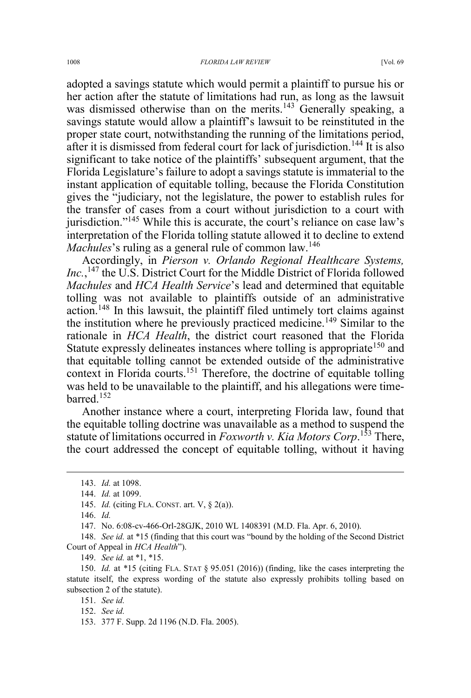adopted a savings statute which would permit a plaintiff to pursue his or her action after the statute of limitations had run, as long as the lawsuit was dismissed otherwise than on the merits.<sup>143</sup> Generally speaking, a savings statute would allow a plaintiff's lawsuit to be reinstituted in the proper state court, notwithstanding the running of the limitations period, after it is dismissed from federal court for lack of jurisdiction.<sup>144</sup> It is also significant to take notice of the plaintiffs' subsequent argument, that the Florida Legislature's failure to adopt a savings statute is immaterial to the instant application of equitable tolling, because the Florida Constitution gives the "judiciary, not the legislature, the power to establish rules for the transfer of cases from a court without jurisdiction to a court with jurisdiction."<sup>145</sup> While this is accurate, the court's reliance on case law's interpretation of the Florida tolling statute allowed it to decline to extend *Machules*'s ruling as a general rule of common law.<sup>146</sup>

Accordingly, in *Pierson v. Orlando Regional Healthcare Systems, Inc.*, <sup>147</sup> the U.S. District Court for the Middle District of Florida followed *Machules* and *HCA Health Service*'s lead and determined that equitable tolling was not available to plaintiffs outside of an administrative action.148 In this lawsuit, the plaintiff filed untimely tort claims against the institution where he previously practiced medicine.<sup>149</sup> Similar to the rationale in *HCA Health*, the district court reasoned that the Florida Statute expressly delineates instances where tolling is appropriate<sup>150</sup> and that equitable tolling cannot be extended outside of the administrative context in Florida courts.<sup>151</sup> Therefore, the doctrine of equitable tolling was held to be unavailable to the plaintiff, and his allegations were timebarred.<sup>152</sup>

Another instance where a court, interpreting Florida law, found that the equitable tolling doctrine was unavailable as a method to suspend the statute of limitations occurred in *Foxworth v. Kia Motors Corp*. <sup>153</sup> There, the court addressed the concept of equitable tolling, without it having

146. *Id.*

147. No. 6:08-cv-466-Orl-28GJK, 2010 WL 1408391 (M.D. Fla. Apr. 6, 2010).

149. *See id.* at \*1, \*15.

150. *Id.* at \*15 (citing FLA. STAT § 95.051 (2016)) (finding, like the cases interpreting the statute itself, the express wording of the statute also expressly prohibits tolling based on subsection 2 of the statute).

151. *See id.*

152. *See id.*

 <sup>143.</sup> *Id.* at 1098.

<sup>144.</sup> *Id.* at 1099.

<sup>145.</sup> *Id.* (citing FLA. CONST. art. V, § 2(a)).

<sup>148.</sup> *See id.* at \*15 (finding that this court was "bound by the holding of the Second District Court of Appeal in *HCA Health*").

<sup>153. 377</sup> F. Supp. 2d 1196 (N.D. Fla. 2005).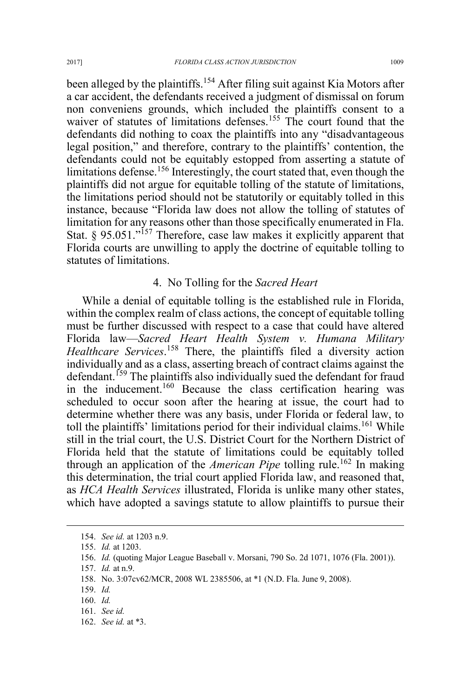been alleged by the plaintiffs.<sup>154</sup> After filing suit against Kia Motors after a car accident, the defendants received a judgment of dismissal on forum non conveniens grounds, which included the plaintiffs consent to a waiver of statutes of limitations defenses.<sup>155</sup> The court found that the defendants did nothing to coax the plaintiffs into any "disadvantageous legal position," and therefore, contrary to the plaintiffs' contention, the defendants could not be equitably estopped from asserting a statute of limitations defense.<sup>156</sup> Interestingly, the court stated that, even though the plaintiffs did not argue for equitable tolling of the statute of limitations, the limitations period should not be statutorily or equitably tolled in this instance, because "Florida law does not allow the tolling of statutes of limitation for any reasons other than those specifically enumerated in Fla. Stat.  $§$  95.051."<sup>157</sup> Therefore, case law makes it explicitly apparent that Florida courts are unwilling to apply the doctrine of equitable tolling to statutes of limitations.

### 4. No Tolling for the *Sacred Heart*

While a denial of equitable tolling is the established rule in Florida, within the complex realm of class actions, the concept of equitable tolling must be further discussed with respect to a case that could have altered Florida law—*Sacred Heart Health System v. Humana Military Healthcare Services*. <sup>158</sup> There, the plaintiffs filed a diversity action individually and as a class, asserting breach of contract claims against the defendant.<sup>159</sup> The plaintiffs also individually sued the defendant for fraud in the inducement.<sup>160</sup> Because the class certification hearing was scheduled to occur soon after the hearing at issue, the court had to determine whether there was any basis, under Florida or federal law, to toll the plaintiffs' limitations period for their individual claims.<sup>161</sup> While still in the trial court, the U.S. District Court for the Northern District of Florida held that the statute of limitations could be equitably tolled through an application of the *American Pipe* tolling rule.<sup>162</sup> In making this determination, the trial court applied Florida law, and reasoned that, as *HCA Health Services* illustrated, Florida is unlike many other states, which have adopted a savings statute to allow plaintiffs to pursue their

162. *See id.* at \*3.

 <sup>154.</sup> *See id.* at 1203 n.9.

<sup>155.</sup> *Id.* at 1203.

<sup>156.</sup> *Id.* (quoting Major League Baseball v. Morsani, 790 So. 2d 1071, 1076 (Fla. 2001)).

<sup>157.</sup> *Id.* at n.9.

<sup>158.</sup> No. 3:07cv62/MCR, 2008 WL 2385506, at \*1 (N.D. Fla. June 9, 2008).

<sup>159.</sup> *Id.*

<sup>160.</sup> *Id.*

<sup>161.</sup> *See id.*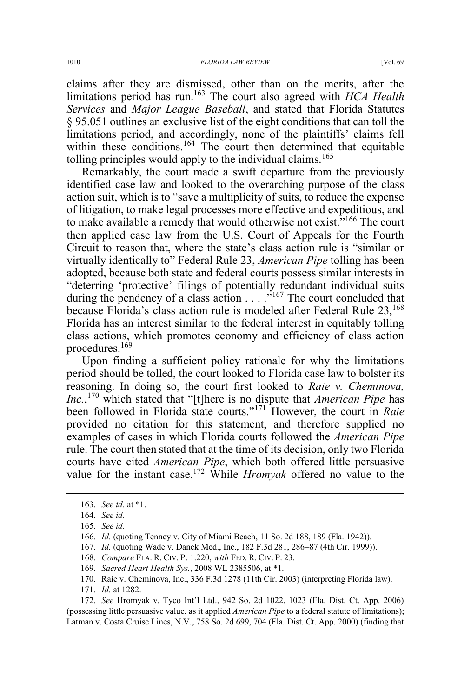claims after they are dismissed, other than on the merits, after the limitations period has run.<sup>163</sup> The court also agreed with *HCA Health Services* and *Major League Baseball*, and stated that Florida Statutes § 95.051 outlines an exclusive list of the eight conditions that can toll the limitations period, and accordingly, none of the plaintiffs' claims fell within these conditions.<sup>164</sup> The court then determined that equitable tolling principles would apply to the individual claims.<sup>165</sup>

Remarkably, the court made a swift departure from the previously identified case law and looked to the overarching purpose of the class action suit, which is to "save a multiplicity of suits, to reduce the expense of litigation, to make legal processes more effective and expeditious, and to make available a remedy that would otherwise not exist."<sup>166</sup> The court then applied case law from the U.S. Court of Appeals for the Fourth Circuit to reason that, where the state's class action rule is "similar or virtually identically to" Federal Rule 23, *American Pipe* tolling has been adopted, because both state and federal courts possess similar interests in "deterring 'protective' filings of potentially redundant individual suits during the pendency of a class action  $\ldots$ <sup>5167</sup>. The court concluded that because Florida's class action rule is modeled after Federal Rule  $23$ ,  $^{168}$ Florida has an interest similar to the federal interest in equitably tolling class actions, which promotes economy and efficiency of class action procedures.<sup>169</sup>

Upon finding a sufficient policy rationale for why the limitations period should be tolled, the court looked to Florida case law to bolster its reasoning. In doing so, the court first looked to *Raie v. Cheminova, Inc.*, <sup>170</sup> which stated that "[t]here is no dispute that *American Pipe* has been followed in Florida state courts."<sup>171</sup> However, the court in *Raie* provided no citation for this statement, and therefore supplied no examples of cases in which Florida courts followed the *American Pipe* rule. The court then stated that at the time of its decision, only two Florida courts have cited *American Pipe*, which both offered little persuasive value for the instant case.<sup>172</sup> While *Hromyak* offered no value to the

- 168. *Compare* FLA. R. CIV. P. 1.220, *with* FED. R. CIV. P. 23.
- 169. *Sacred Heart Health Sys.*, 2008 WL 2385506, at \*1.
- 170. Raie v. Cheminova, Inc., 336 F.3d 1278 (11th Cir. 2003) (interpreting Florida law).
- 171. *Id.* at 1282.

172. *See* Hromyak v. Tyco Int'l Ltd., 942 So. 2d 1022, 1023 (Fla. Dist. Ct. App. 2006) (possessing little persuasive value, as it applied *American Pipe* to a federal statute of limitations); Latman v. Costa Cruise Lines, N.V., 758 So. 2d 699, 704 (Fla. Dist. Ct. App. 2000) (finding that

 <sup>163.</sup> *See id.* at \*1.

<sup>164.</sup> *See id.* 

<sup>165.</sup> *See id.*

<sup>166.</sup> *Id.* (quoting Tenney v. City of Miami Beach, 11 So. 2d 188, 189 (Fla. 1942)).

<sup>167.</sup> *Id.* (quoting Wade v. Danek Med., Inc., 182 F.3d 281, 286–87 (4th Cir. 1999)).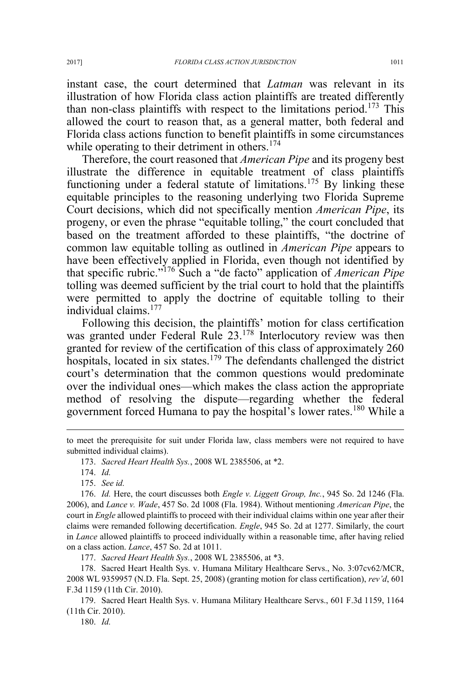instant case, the court determined that *Latman* was relevant in its illustration of how Florida class action plaintiffs are treated differently than non-class plaintiffs with respect to the limitations period.<sup>173</sup> This allowed the court to reason that, as a general matter, both federal and Florida class actions function to benefit plaintiffs in some circumstances while operating to their detriment in others.<sup>174</sup>

Therefore, the court reasoned that *American Pipe* and its progeny best illustrate the difference in equitable treatment of class plaintiffs functioning under a federal statute of limitations.<sup>175</sup> By linking these equitable principles to the reasoning underlying two Florida Supreme Court decisions, which did not specifically mention *American Pipe*, its progeny, or even the phrase "equitable tolling," the court concluded that based on the treatment afforded to these plaintiffs, "the doctrine of common law equitable tolling as outlined in *American Pipe* appears to have been effectively applied in Florida, even though not identified by that specific rubric."<sup>176</sup> Such a "de facto" application of *American Pipe* tolling was deemed sufficient by the trial court to hold that the plaintiffs were permitted to apply the doctrine of equitable tolling to their individual claims.<sup>177</sup>

Following this decision, the plaintiffs' motion for class certification was granted under Federal Rule 23.<sup>178</sup> Interlocutory review was then granted for review of the certification of this class of approximately 260 hospitals, located in six states.<sup>179</sup> The defendants challenged the district court's determination that the common questions would predominate over the individual ones—which makes the class action the appropriate method of resolving the dispute—regarding whether the federal government forced Humana to pay the hospital's lower rates.<sup>180</sup> While a

 $\overline{a}$ 

to meet the prerequisite for suit under Florida law, class members were not required to have submitted individual claims).

<sup>173.</sup> *Sacred Heart Health Sys.*, 2008 WL 2385506, at \*2.

<sup>174.</sup> *Id.*

<sup>175.</sup> *See id.*

<sup>176.</sup> *Id.* Here, the court discusses both *Engle v. Liggett Group, Inc.*, 945 So. 2d 1246 (Fla. 2006), and *Lance v. Wade*, 457 So. 2d 1008 (Fla. 1984). Without mentioning *American Pipe*, the court in *Engle* allowed plaintiffs to proceed with their individual claims within one year after their claims were remanded following decertification. *Engle*, 945 So. 2d at 1277. Similarly, the court in *Lance* allowed plaintiffs to proceed individually within a reasonable time, after having relied on a class action. *Lance*, 457 So. 2d at 1011.

<sup>177.</sup> *Sacred Heart Health Sys.*, 2008 WL 2385506, at \*3.

<sup>178.</sup> Sacred Heart Health Sys. v. Humana Military Healthcare Servs., No. 3:07cv62/MCR, 2008 WL 9359957 (N.D. Fla. Sept. 25, 2008) (granting motion for class certification), *rev'd*, 601 F.3d 1159 (11th Cir. 2010).

<sup>179.</sup> Sacred Heart Health Sys. v. Humana Military Healthcare Servs., 601 F.3d 1159, 1164 (11th Cir. 2010).

<sup>180.</sup> *Id.*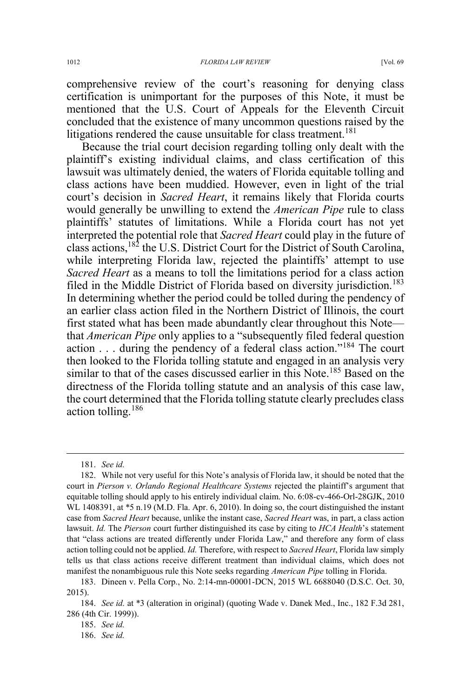comprehensive review of the court's reasoning for denying class certification is unimportant for the purposes of this Note, it must be mentioned that the U.S. Court of Appeals for the Eleventh Circuit concluded that the existence of many uncommon questions raised by the litigations rendered the cause unsuitable for class treatment.<sup>181</sup>

Because the trial court decision regarding tolling only dealt with the plaintiff's existing individual claims, and class certification of this lawsuit was ultimately denied, the waters of Florida equitable tolling and class actions have been muddied. However, even in light of the trial court's decision in *Sacred Heart*, it remains likely that Florida courts would generally be unwilling to extend the *American Pipe* rule to class plaintiffs' statutes of limitations. While a Florida court has not yet interpreted the potential role that *Sacred Heart* could play in the future of class actions,182 the U.S. District Court for the District of South Carolina, while interpreting Florida law, rejected the plaintiffs' attempt to use *Sacred Heart* as a means to toll the limitations period for a class action filed in the Middle District of Florida based on diversity jurisdiction.<sup>183</sup> In determining whether the period could be tolled during the pendency of an earlier class action filed in the Northern District of Illinois, the court first stated what has been made abundantly clear throughout this Note that *American Pipe* only applies to a "subsequently filed federal question action  $\ldots$  during the pendency of a federal class action."<sup>184</sup> The court then looked to the Florida tolling statute and engaged in an analysis very similar to that of the cases discussed earlier in this Note.<sup>185</sup> Based on the directness of the Florida tolling statute and an analysis of this case law, the court determined that the Florida tolling statute clearly precludes class action tolling.<sup>186</sup>

 <sup>181.</sup> *See id.*

<sup>182.</sup> While not very useful for this Note's analysis of Florida law, it should be noted that the court in *Pierson v. Orlando Regional Healthcare Systems* rejected the plaintiff's argument that equitable tolling should apply to his entirely individual claim. No. 6:08-cv-466-Orl-28GJK, 2010 WL 1408391, at  $*5$  n.19 (M.D. Fla. Apr. 6, 2010). In doing so, the court distinguished the instant case from *Sacred Heart* because, unlike the instant case, *Sacred Heart* was, in part, a class action lawsuit. *Id.* The *Pierson* court further distinguished its case by citing to *HCA Health*'s statement that "class actions are treated differently under Florida Law," and therefore any form of class action tolling could not be applied. *Id.* Therefore, with respect to *Sacred Heart*, Florida law simply tells us that class actions receive different treatment than individual claims, which does not manifest the nonambiguous rule this Note seeks regarding *American Pipe* tolling in Florida.

<sup>183.</sup> Dineen v. Pella Corp., No. 2:14-mn-00001-DCN, 2015 WL 6688040 (D.S.C. Oct. 30, 2015).

<sup>184.</sup> *See id.* at \*3 (alteration in original) (quoting Wade v. Danek Med., Inc., 182 F.3d 281, 286 (4th Cir. 1999)).

<sup>185.</sup> *See id.* 

<sup>186.</sup> *See id.*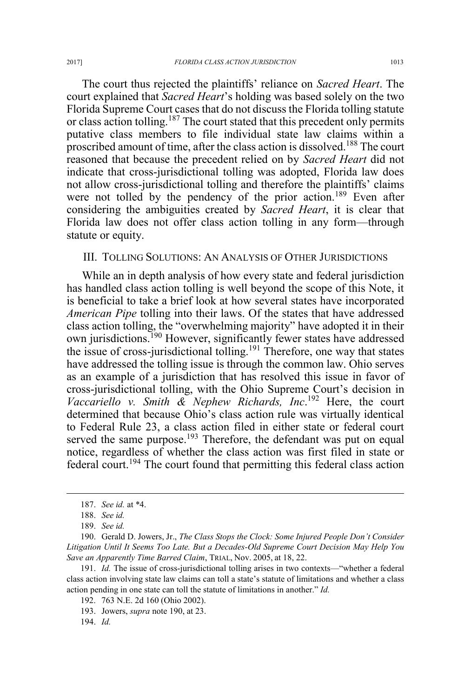The court thus rejected the plaintiffs' reliance on *Sacred Heart*. The court explained that *Sacred Heart*'s holding was based solely on the two Florida Supreme Court cases that do not discuss the Florida tolling statute or class action tolling.<sup>187</sup> The court stated that this precedent only permits putative class members to file individual state law claims within a proscribed amount of time, after the class action is dissolved.<sup>188</sup> The court reasoned that because the precedent relied on by *Sacred Heart* did not indicate that cross-jurisdictional tolling was adopted, Florida law does not allow cross-jurisdictional tolling and therefore the plaintiffs' claims were not tolled by the pendency of the prior action.<sup>189</sup> Even after considering the ambiguities created by *Sacred Heart*, it is clear that Florida law does not offer class action tolling in any form—through statute or equity.

### III. TOLLING SOLUTIONS: AN ANALYSIS OF OTHER JURISDICTIONS

While an in depth analysis of how every state and federal jurisdiction has handled class action tolling is well beyond the scope of this Note, it is beneficial to take a brief look at how several states have incorporated *American Pipe* tolling into their laws. Of the states that have addressed class action tolling, the "overwhelming majority" have adopted it in their own jurisdictions.<sup>190</sup> However, significantly fewer states have addressed the issue of cross-jurisdictional tolling.<sup>191</sup> Therefore, one way that states have addressed the tolling issue is through the common law. Ohio serves as an example of a jurisdiction that has resolved this issue in favor of cross-jurisdictional tolling, with the Ohio Supreme Court's decision in *Vaccariello v. Smith & Nephew Richards, Inc*. <sup>192</sup> Here, the court determined that because Ohio's class action rule was virtually identical to Federal Rule 23, a class action filed in either state or federal court served the same purpose.<sup>193</sup> Therefore, the defendant was put on equal notice, regardless of whether the class action was first filed in state or federal court.<sup>194</sup> The court found that permitting this federal class action

 <sup>187.</sup> *See id.* at \*4.

<sup>188.</sup> *See id.*

<sup>189.</sup> *See id.*

<sup>190.</sup> Gerald D. Jowers, Jr., *The Class Stops the Clock: Some Injured People Don't Consider Litigation Until It Seems Too Late. But a Decades-Old Supreme Court Decision May Help You Save an Apparently Time Barred Claim*, TRIAL, Nov. 2005, at 18, 22.

<sup>191.</sup> *Id.* The issue of cross-jurisdictional tolling arises in two contexts—"whether a federal class action involving state law claims can toll a state's statute of limitations and whether a class action pending in one state can toll the statute of limitations in another." *Id.*

<sup>192. 763</sup> N.E. 2d 160 (Ohio 2002).

<sup>193.</sup> Jowers, *supra* note 190, at 23.

<sup>194.</sup> *Id.*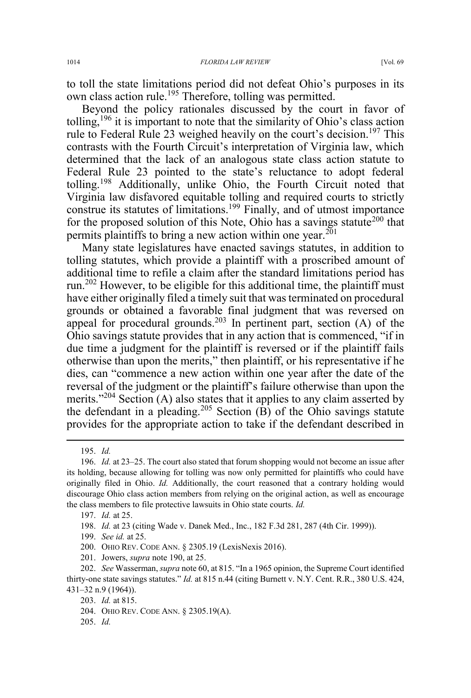to toll the state limitations period did not defeat Ohio's purposes in its own class action rule.<sup>195</sup> Therefore, tolling was permitted.

Beyond the policy rationales discussed by the court in favor of tolling,<sup>196</sup> it is important to note that the similarity of Ohio's class action rule to Federal Rule 23 weighed heavily on the court's decision.<sup>197</sup> This contrasts with the Fourth Circuit's interpretation of Virginia law, which determined that the lack of an analogous state class action statute to Federal Rule 23 pointed to the state's reluctance to adopt federal tolling.<sup>198</sup> Additionally, unlike Ohio, the Fourth Circuit noted that Virginia law disfavored equitable tolling and required courts to strictly construe its statutes of limitations.<sup>199</sup> Finally, and of utmost importance for the proposed solution of this Note, Ohio has a savings statute<sup>200</sup> that permits plaintiffs to bring a new action within one year.<sup>201</sup>

Many state legislatures have enacted savings statutes, in addition to tolling statutes, which provide a plaintiff with a proscribed amount of additional time to refile a claim after the standard limitations period has run.<sup>202</sup> However, to be eligible for this additional time, the plaintiff must have either originally filed a timely suit that was terminated on procedural grounds or obtained a favorable final judgment that was reversed on appeal for procedural grounds.<sup>203</sup> In pertinent part, section  $(A)$  of the Ohio savings statute provides that in any action that is commenced, "if in due time a judgment for the plaintiff is reversed or if the plaintiff fails otherwise than upon the merits," then plaintiff, or his representative if he dies, can "commence a new action within one year after the date of the reversal of the judgment or the plaintiff's failure otherwise than upon the merits."<sup>204</sup> Section (A) also states that it applies to any claim asserted by the defendant in a pleading.<sup>205</sup> Section  $(B)$  of the Ohio savings statute provides for the appropriate action to take if the defendant described in

- 199. *See id.* at 25.
- 200. OHIO REV. CODE ANN. § 2305.19 (LexisNexis 2016).
- 201. Jowers, *supra* note 190, at 25.

205. *Id.*

 <sup>195.</sup> *Id.*

<sup>196.</sup> *Id.* at 23–25. The court also stated that forum shopping would not become an issue after its holding, because allowing for tolling was now only permitted for plaintiffs who could have originally filed in Ohio. *Id.* Additionally, the court reasoned that a contrary holding would discourage Ohio class action members from relying on the original action, as well as encourage the class members to file protective lawsuits in Ohio state courts. *Id.*

<sup>197.</sup> *Id.* at 25.

<sup>198.</sup> *Id.* at 23 (citing Wade v. Danek Med., Inc., 182 F.3d 281, 287 (4th Cir. 1999)).

<sup>202.</sup> *See* Wasserman, *supra* note 60, at 815. "In a 1965 opinion, the Supreme Court identified thirty-one state savings statutes." *Id.* at 815 n.44 (citing Burnett v. N.Y. Cent. R.R., 380 U.S. 424, 431–32 n.9 (1964)).

<sup>203.</sup> *Id.* at 815.

<sup>204.</sup> OHIO REV. CODE ANN. § 2305.19(A).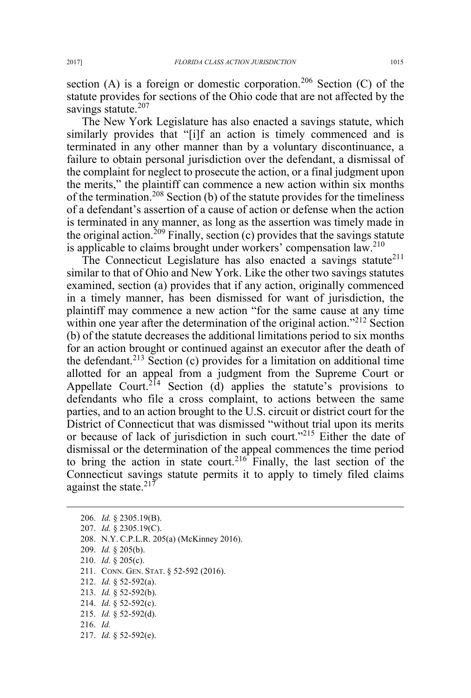section (A) is a foreign or domestic corporation.<sup>206</sup> Section (C) of the statute provides for sections of the Ohio code that are not affected by the savings statute.<sup>207</sup>

The New York Legislature has also enacted a savings statute, which similarly provides that "[i]f an action is timely commenced and is terminated in any other manner than by a voluntary discontinuance, a failure to obtain personal jurisdiction over the defendant, a dismissal of the complaint for neglect to prosecute the action, or a final judgment upon the merits," the plaintiff can commence a new action within six months of the termination.<sup>208</sup> Section (b) of the statute provides for the timeliness of a defendant's assertion of a cause of action or defense when the action is terminated in any manner, as long as the assertion was timely made in the original action.<sup>209</sup> Finally, section (c) provides that the savings statute is applicable to claims brought under workers' compensation law.<sup>210</sup>

The Connecticut Legislature has also enacted a savings statute<sup>211</sup> similar to that of Ohio and New York. Like the other two savings statutes examined, section (a) provides that if any action, originally commenced in a timely manner, has been dismissed for want of jurisdiction, the plaintiff may commence a new action "for the same cause at any time within one year after the determination of the original action.<sup>"212</sup> Section (b) of the statute decreases the additional limitations period to six months for an action brought or continued against an executor after the death of the defendant.<sup>213</sup> Section (c) provides for a limitation on additional time allotted for an appeal from a judgment from the Supreme Court or Appellate Court.<sup>214</sup> Section (d) applies the statute's provisions to defendants who file a cross complaint, to actions between the same parties, and to an action brought to the U.S. circuit or district court for the District of Connecticut that was dismissed "without trial upon its merits or because of lack of jurisdiction in such court."<sup>215</sup> Either the date of dismissal or the determination of the appeal commences the time period to bring the action in state court.<sup>216</sup> Finally, the last section of the Connecticut savings statute permits it to apply to timely filed claims against the state. $217$ 

 206. *Id.* § 2305.19(B). 207. *Id.* § 2305.19(C). 208. N.Y. C.P.L.R. 205(a) (McKinney 2016). 209. *Id.* § 205(b). 210. *Id.* § 205(c). 211. CONN. GEN. STAT. § 52-592 (2016). 212. *Id.* § 52-592(a). 213. *Id.* § 52-592(b). 214. *Id.* § 52-592(c). 215. *Id.* § 52-592(d). 216. *Id.* 217. *Id.* § 52-592(e).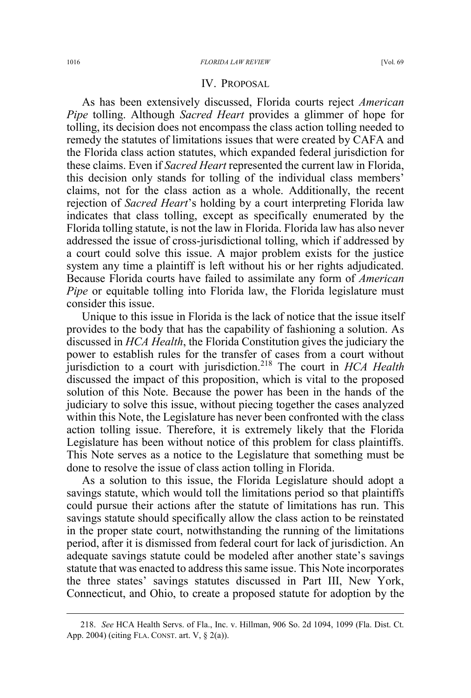### IV. PROPOSAL

As has been extensively discussed, Florida courts reject *American Pipe* tolling. Although *Sacred Heart* provides a glimmer of hope for tolling, its decision does not encompass the class action tolling needed to remedy the statutes of limitations issues that were created by CAFA and the Florida class action statutes, which expanded federal jurisdiction for these claims. Even if *Sacred Heart* represented the current law in Florida, this decision only stands for tolling of the individual class members' claims, not for the class action as a whole. Additionally, the recent rejection of *Sacred Heart*'s holding by a court interpreting Florida law indicates that class tolling, except as specifically enumerated by the Florida tolling statute, is not the law in Florida. Florida law has also never addressed the issue of cross-jurisdictional tolling, which if addressed by a court could solve this issue. A major problem exists for the justice system any time a plaintiff is left without his or her rights adjudicated. Because Florida courts have failed to assimilate any form of *American Pipe* or equitable tolling into Florida law, the Florida legislature must consider this issue.

Unique to this issue in Florida is the lack of notice that the issue itself provides to the body that has the capability of fashioning a solution. As discussed in *HCA Health*, the Florida Constitution gives the judiciary the power to establish rules for the transfer of cases from a court without jurisdiction to a court with jurisdiction.<sup>218</sup> The court in *HCA Health* discussed the impact of this proposition, which is vital to the proposed solution of this Note. Because the power has been in the hands of the judiciary to solve this issue, without piecing together the cases analyzed within this Note, the Legislature has never been confronted with the class action tolling issue. Therefore, it is extremely likely that the Florida Legislature has been without notice of this problem for class plaintiffs. This Note serves as a notice to the Legislature that something must be done to resolve the issue of class action tolling in Florida.

As a solution to this issue, the Florida Legislature should adopt a savings statute, which would toll the limitations period so that plaintiffs could pursue their actions after the statute of limitations has run. This savings statute should specifically allow the class action to be reinstated in the proper state court, notwithstanding the running of the limitations period, after it is dismissed from federal court for lack of jurisdiction. An adequate savings statute could be modeled after another state's savings statute that was enacted to address this same issue. This Note incorporates the three states' savings statutes discussed in Part III, New York, Connecticut, and Ohio, to create a proposed statute for adoption by the

 <sup>218.</sup> *See* HCA Health Servs. of Fla., Inc. v. Hillman, 906 So. 2d 1094, 1099 (Fla. Dist. Ct. App. 2004) (citing FLA. CONST. art. V, § 2(a)).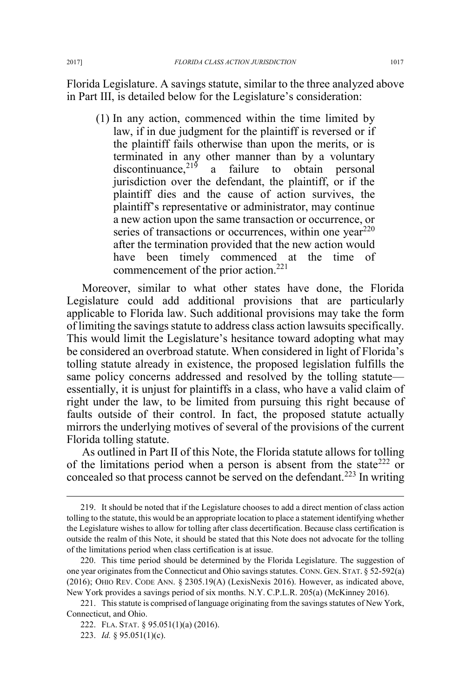Florida Legislature. A savings statute, similar to the three analyzed above in Part III, is detailed below for the Legislature's consideration:

(1) In any action, commenced within the time limited by law, if in due judgment for the plaintiff is reversed or if the plaintiff fails otherwise than upon the merits, or is terminated in any other manner than by a voluntary discontinuance, $2^{19}$  a failure to obtain personal jurisdiction over the defendant, the plaintiff, or if the plaintiff dies and the cause of action survives, the plaintiff's representative or administrator, may continue a new action upon the same transaction or occurrence, or series of transactions or occurrences, within one year<sup>220</sup> after the termination provided that the new action would have been timely commenced at the time of commencement of the prior action.<sup>221</sup>

Moreover, similar to what other states have done, the Florida Legislature could add additional provisions that are particularly applicable to Florida law. Such additional provisions may take the form of limiting the savings statute to address class action lawsuits specifically. This would limit the Legislature's hesitance toward adopting what may be considered an overbroad statute. When considered in light of Florida's tolling statute already in existence, the proposed legislation fulfills the same policy concerns addressed and resolved by the tolling statute essentially, it is unjust for plaintiffs in a class, who have a valid claim of right under the law, to be limited from pursuing this right because of faults outside of their control. In fact, the proposed statute actually mirrors the underlying motives of several of the provisions of the current Florida tolling statute.

As outlined in Part II of this Note, the Florida statute allows for tolling of the limitations period when a person is absent from the state<sup>222</sup> or concealed so that process cannot be served on the defendant.<sup>223</sup> In writing

 <sup>219.</sup> It should be noted that if the Legislature chooses to add a direct mention of class action tolling to the statute, this would be an appropriate location to place a statement identifying whether the Legislature wishes to allow for tolling after class decertification. Because class certification is outside the realm of this Note, it should be stated that this Note does not advocate for the tolling of the limitations period when class certification is at issue.

<sup>220.</sup> This time period should be determined by the Florida Legislature. The suggestion of one year originates from the Connecticut and Ohio savings statutes. CONN. GEN. STAT. § 52-592(a) (2016); OHIO REV. CODE ANN. § 2305.19(A) (LexisNexis 2016). However, as indicated above, New York provides a savings period of six months. N.Y. C.P.L.R. 205(a) (McKinney 2016).

<sup>221.</sup> This statute is comprised of language originating from the savings statutes of New York, Connecticut, and Ohio.

<sup>222.</sup> FLA. STAT. § 95.051(1)(a) (2016).

<sup>223.</sup> *Id.* § 95.051(1)(c).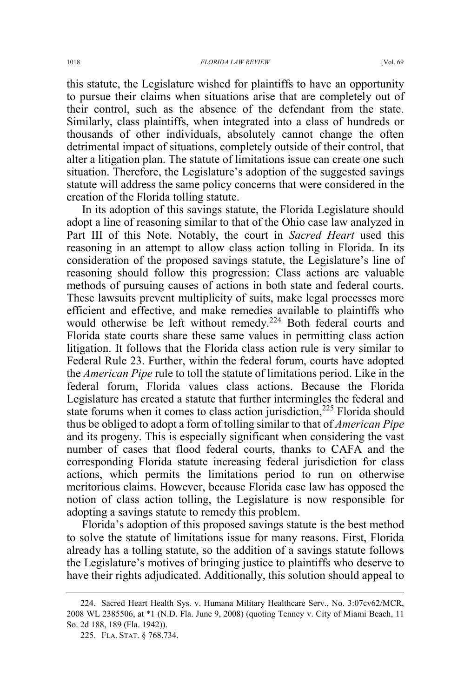this statute, the Legislature wished for plaintiffs to have an opportunity to pursue their claims when situations arise that are completely out of their control, such as the absence of the defendant from the state. Similarly, class plaintiffs, when integrated into a class of hundreds or thousands of other individuals, absolutely cannot change the often detrimental impact of situations, completely outside of their control, that alter a litigation plan. The statute of limitations issue can create one such situation. Therefore, the Legislature's adoption of the suggested savings statute will address the same policy concerns that were considered in the creation of the Florida tolling statute.

In its adoption of this savings statute, the Florida Legislature should adopt a line of reasoning similar to that of the Ohio case law analyzed in Part III of this Note. Notably, the court in *Sacred Heart* used this reasoning in an attempt to allow class action tolling in Florida. In its consideration of the proposed savings statute, the Legislature's line of reasoning should follow this progression: Class actions are valuable methods of pursuing causes of actions in both state and federal courts. These lawsuits prevent multiplicity of suits, make legal processes more efficient and effective, and make remedies available to plaintiffs who would otherwise be left without remedy.<sup>224</sup> Both federal courts and Florida state courts share these same values in permitting class action litigation. It follows that the Florida class action rule is very similar to Federal Rule 23. Further, within the federal forum, courts have adopted the *American Pipe* rule to toll the statute of limitations period. Like in the federal forum, Florida values class actions. Because the Florida Legislature has created a statute that further intermingles the federal and state forums when it comes to class action jurisdiction, $225$  Florida should thus be obliged to adopt a form of tolling similar to that of *American Pipe* and its progeny. This is especially significant when considering the vast number of cases that flood federal courts, thanks to CAFA and the corresponding Florida statute increasing federal jurisdiction for class actions, which permits the limitations period to run on otherwise meritorious claims. However, because Florida case law has opposed the notion of class action tolling, the Legislature is now responsible for adopting a savings statute to remedy this problem.

Florida's adoption of this proposed savings statute is the best method to solve the statute of limitations issue for many reasons. First, Florida already has a tolling statute, so the addition of a savings statute follows the Legislature's motives of bringing justice to plaintiffs who deserve to have their rights adjudicated. Additionally, this solution should appeal to

 <sup>224.</sup> Sacred Heart Health Sys. v. Humana Military Healthcare Serv., No. 3:07cv62/MCR, 2008 WL 2385506, at \*1 (N.D. Fla. June 9, 2008) (quoting Tenney v. City of Miami Beach, 11 So. 2d 188, 189 (Fla. 1942)).

<sup>225.</sup> FLA. STAT. § 768.734.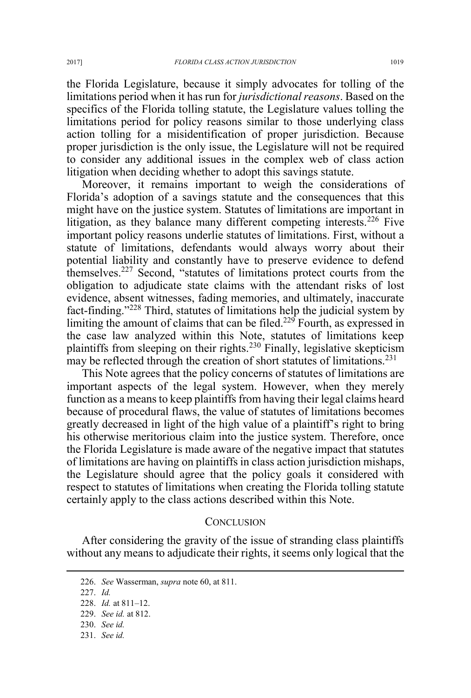the Florida Legislature, because it simply advocates for tolling of the limitations period when it has run for *jurisdictional reasons*. Based on the specifics of the Florida tolling statute, the Legislature values tolling the limitations period for policy reasons similar to those underlying class action tolling for a misidentification of proper jurisdiction. Because proper jurisdiction is the only issue, the Legislature will not be required to consider any additional issues in the complex web of class action litigation when deciding whether to adopt this savings statute.

Moreover, it remains important to weigh the considerations of Florida's adoption of a savings statute and the consequences that this might have on the justice system. Statutes of limitations are important in litigation, as they balance many different competing interests.<sup>226</sup> Five important policy reasons underlie statutes of limitations. First, without a statute of limitations, defendants would always worry about their potential liability and constantly have to preserve evidence to defend themselves.227 Second, "statutes of limitations protect courts from the obligation to adjudicate state claims with the attendant risks of lost evidence, absent witnesses, fading memories, and ultimately, inaccurate fact-finding."<sup>228</sup> Third, statutes of limitations help the judicial system by limiting the amount of claims that can be filed.<sup>229</sup> Fourth, as expressed in the case law analyzed within this Note, statutes of limitations keep plaintiffs from sleeping on their rights.<sup>230</sup> Finally, legislative skepticism may be reflected through the creation of short statutes of limitations.<sup>231</sup>

This Note agrees that the policy concerns of statutes of limitations are important aspects of the legal system. However, when they merely function as a means to keep plaintiffs from having their legal claims heard because of procedural flaws, the value of statutes of limitations becomes greatly decreased in light of the high value of a plaintiff's right to bring his otherwise meritorious claim into the justice system. Therefore, once the Florida Legislature is made aware of the negative impact that statutes of limitations are having on plaintiffs in class action jurisdiction mishaps, the Legislature should agree that the policy goals it considered with respect to statutes of limitations when creating the Florida tolling statute certainly apply to the class actions described within this Note.

### **CONCLUSION**

After considering the gravity of the issue of stranding class plaintiffs without any means to adjudicate their rights, it seems only logical that the

 <sup>226.</sup> *See* Wasserman, *supra* note 60, at 811.

<sup>227.</sup> *Id.*

<sup>228.</sup> *Id.* at 811–12.

<sup>229.</sup> *See id.* at 812.

<sup>230.</sup> *See id.*

<sup>231.</sup> *See id.*